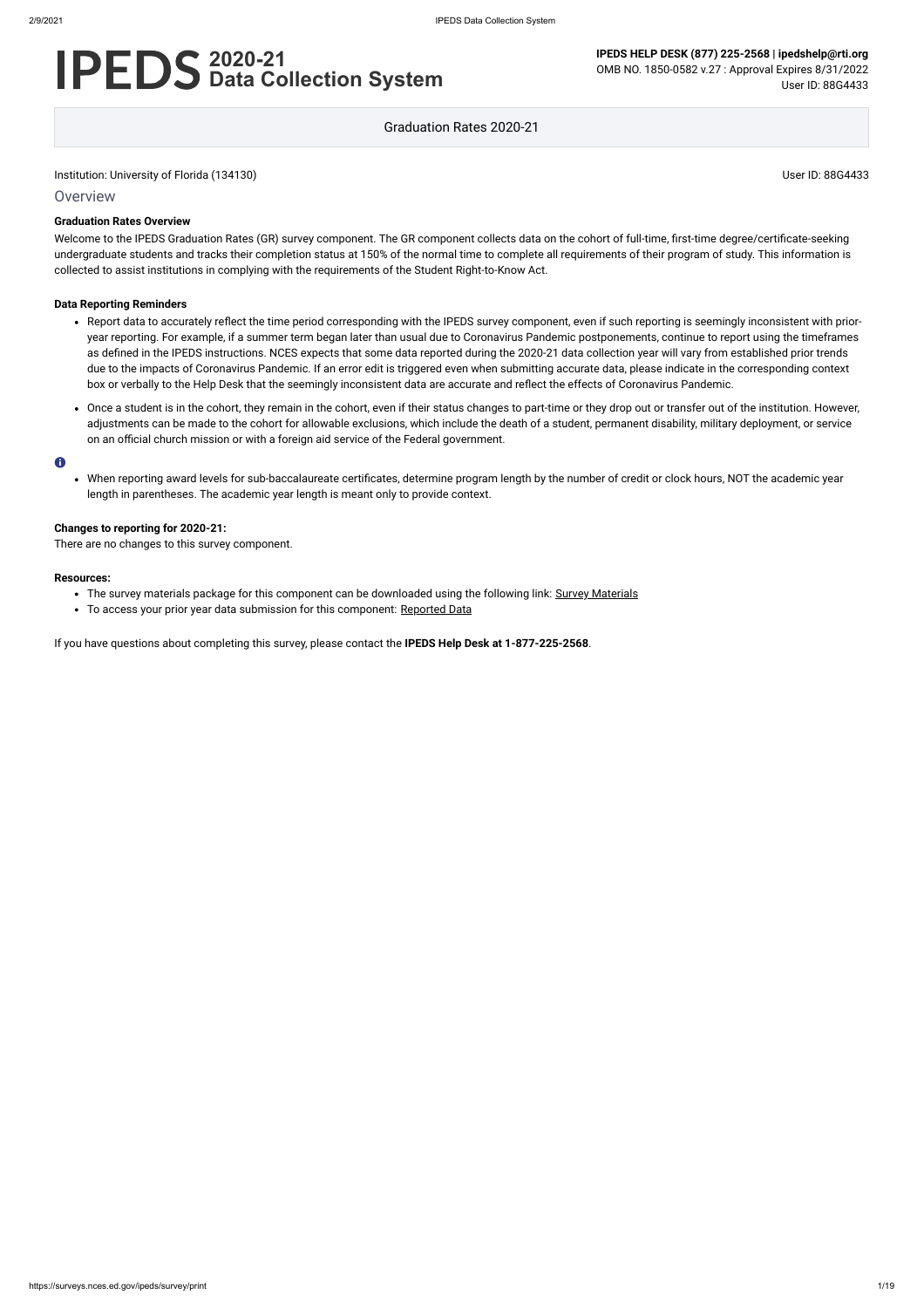**Overview** 

# **2020-21 Data Collection System**

**IPEDS HELP DESK (877) 225-2568 | ipedshelp@rti.org** OMB NO. 1850-0582 v.27 : Approval Expires 8/31/2022 User ID: 88G4433

Graduation Rates 2020-21

### **Graduation Rates Overview**

Welcome to the IPEDS Graduation Rates (GR) survey component. The GR component collects data on the cohort of full-time, first-time degree/certificate-seeking undergraduate students and tracks their completion status at 150% of the normal time to complete all requirements of their program of study. This information is collected to assist institutions in complying with the requirements of the Student Right-to-Know Act.

#### **Data Reporting Reminders**

- The survey materials package for this component can be downloaded using the following link: Survey [Materials](https://surveys.nces.ed.gov/ipeds/public/survey-materials/index)
- To access your prior year data submission for this component: [Reported Data](https://surveys.nces.ed.gov/IPEDS_py/DataForms.aspx?f0e9e4efc4dfb8acaeafacaeaba1eef0edf1e0f4c4dfb8afa1f0eee0edc4dfb8b3b3c2afafaeaea1f0e9e4efc9dce8e0b8d0e9e4f1e0edeee4eff49beae19bc1e7eaede4dfdca1ebedeadee0eeeeb8e0f3efe0ede9dce7a1eddfefb8adaab4aaadabadac9bb3b5b0acb5abb39bbcc8)
- Report data to accurately reflect the time period corresponding with the IPEDS survey component, even if such reporting is seemingly inconsistent with prioryear reporting. For example, if a summer term began later than usual due to Coronavirus Pandemic postponements, continue to report using the timeframes as defined in the IPEDS instructions. NCES expects that some data reported during the 2020-21 data collection year will vary from established prior trends due to the impacts of Coronavirus Pandemic. If an error edit is triggered even when submitting accurate data, please indicate in the corresponding context box or verbally to the Help Desk that the seemingly inconsistent data are accurate and reflect the effects of Coronavirus Pandemic.
- Once a student is in the cohort, they remain in the cohort, even if their status changes to part-time or they drop out or transfer out of the institution. However, adjustments can be made to the cohort for allowable exclusions, which include the death of a student, permanent disability, military deployment, or service on an official church mission or with a foreign aid service of the Federal government.

#### $\bullet$

When reporting award levels for sub-baccalaureate certificates, determine program length by the number of credit or clock hours, NOT the academic year length in parentheses. The academic year length is meant only to provide context.

#### **Changes to reporting for 2020-21:**

There are no changes to this survey component.

#### **Resources:**

If you have questions about completing this survey, please contact the **IPEDS Help Desk at 1-877-225-2568**.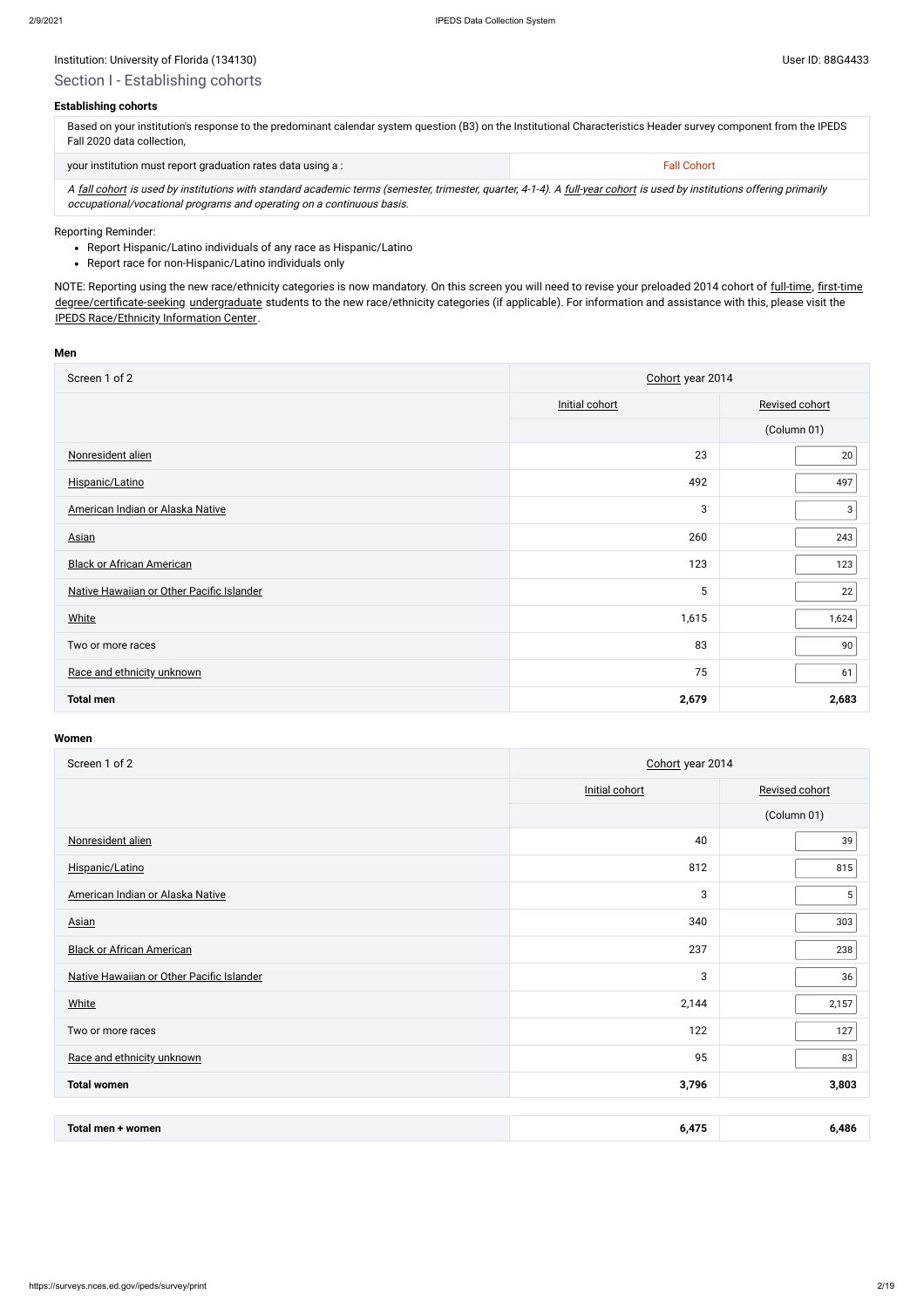### Institution: University of Florida (134130) Channels and the User ID: 88G4433

### **Establishing cohorts**

| Based on your institution's response to the predominant calendar system question (B3) on the Institutional Characteristics Header survey component from the IPEDS<br>Fall 2020 data collection. |                    |  |  |
|-------------------------------------------------------------------------------------------------------------------------------------------------------------------------------------------------|--------------------|--|--|
| your institution must report graduation rates data using a :                                                                                                                                    | <b>Fall Cohort</b> |  |  |

A [fall cohort](javascript:openglossary(219)) is used by institutions with standard academic terms (semester, trimester, quarter, 4-1-4). A [full-year cohort](javascript:openglossary(261)) is used by institutions offering primarily occupational/vocational programs and operating on a continuous basis.

- Report Hispanic/Latino individuals of any race as Hispanic/Latino
- Report race for non-Hispanic/Latino individuals only

NOTE: Reporting using the new race/ethnicity categories is now mandatory. On this screen you will need to revise your preloaded 2014 cohort of [full-time,](javascript:openglossary(259)) [first-time](javascript:openglossary(241)) [degree/certificate-seeking](javascript:openglossary(171)) [undergraduate](javascript:openglossary(677)) students to the new race/ethnicity categories (if applicable). For information and assistance with this, please visit the [IPEDS Race/Ethnicity](https://nces.ed.gov/ipeds/report-your-data/resource-center-race-ethnicity) Information Center.

#### Reporting Reminder:

#### **Men**

| Screen 1 of 2                             | Cohort year 2014 |                |  |
|-------------------------------------------|------------------|----------------|--|
|                                           | Initial cohort   | Revised cohort |  |
|                                           |                  | (Column 01)    |  |
| Nonresident alien                         | 23               | 20             |  |
| Hispanic/Latino                           | 492              | 497            |  |
| American Indian or Alaska Native          | 3                | 3              |  |
| Asian                                     | 260              | 243            |  |
| <b>Black or African American</b>          | 123              | 123            |  |
| Native Hawaiian or Other Pacific Islander | 5                | 22             |  |
| <b>White</b>                              | 1,615            | 1,624          |  |
| Two or more races                         | 83               | 90             |  |
| Race and ethnicity unknown                | 75               | 61             |  |
| <b>Total men</b>                          | 2,679            | 2,683          |  |

| Screen 1 of 2                             | Cohort year 2014 |                |  |
|-------------------------------------------|------------------|----------------|--|
|                                           | Initial cohort   | Revised cohort |  |
|                                           |                  | (Column 01)    |  |
| Nonresident alien                         | 40               | 39             |  |
| Hispanic/Latino                           | 812              | 815            |  |
| American Indian or Alaska Native          | 3                | 5              |  |
| <b>Asian</b>                              | 340              | 303            |  |
| <b>Black or African American</b>          | 237              | 238            |  |
| Native Hawaiian or Other Pacific Islander | 3                | 36             |  |
| White                                     | 2,144            | 2,157          |  |
| Two or more races                         | 122              | 127            |  |
| Race and ethnicity unknown                | 95               | 83             |  |
| <b>Total women</b>                        | 3,796            | 3,803          |  |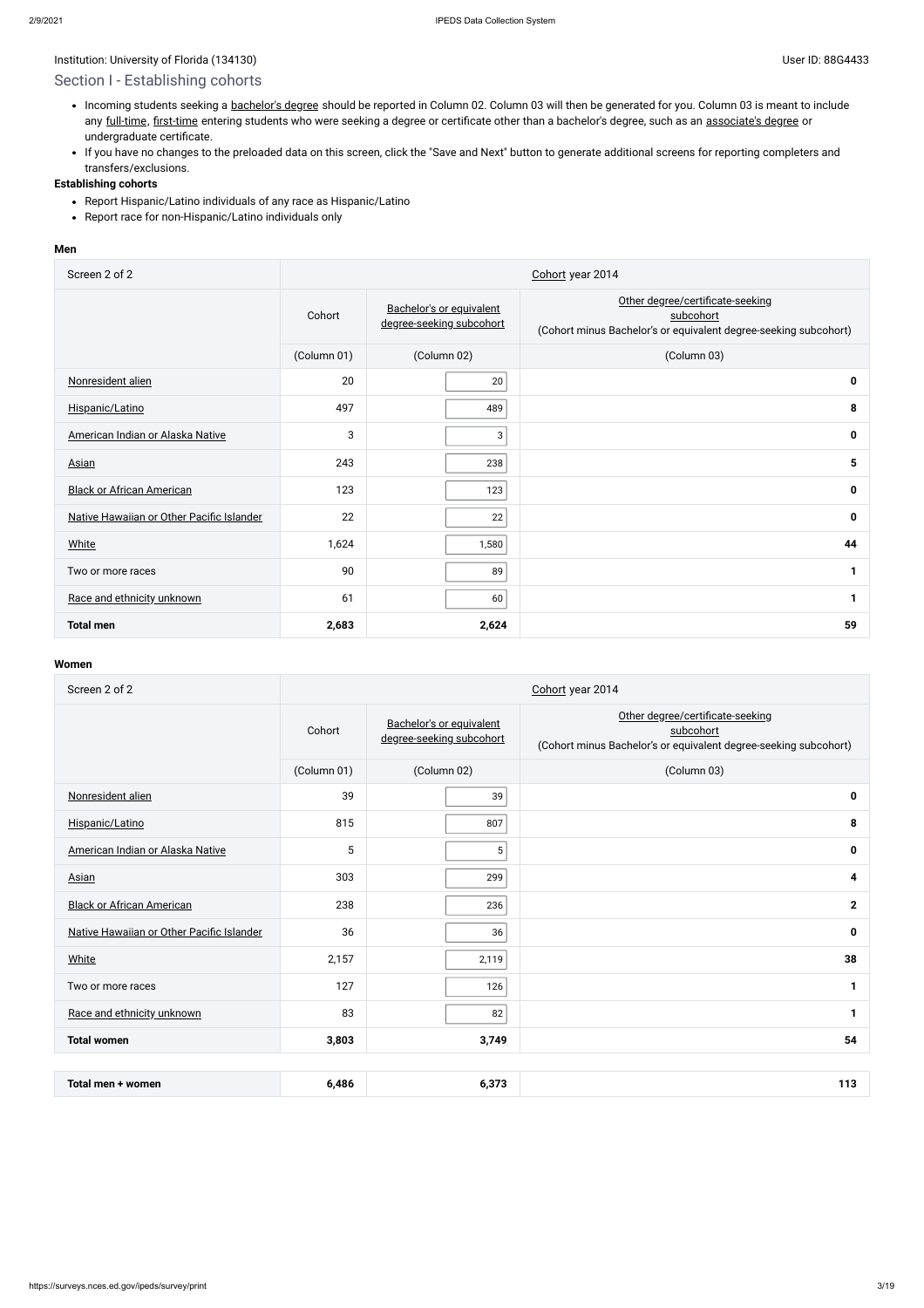# Section I - Establishing cohorts

- Incoming students seeking a [bachelor's](javascript:openglossary(77)) degree should be reported in Column 02. Column 03 will then be generated for you. Column 03 is meant to include any [full-time](javascript:openglossary(259)), [first-time](javascript:openglossary(241)) entering students who were seeking a degree or certificate other than a bachelor's degree, such as an [associate's](javascript:openglossary(55)) degree or undergraduate certificate.
- If you have no changes to the preloaded data on this screen, click the "Save and Next" button to generate additional screens for reporting completers and transfers/exclusions.

- Report Hispanic/Latino individuals of any race as Hispanic/Latino
- Report race for non-Hispanic/Latino individuals only

### **Establishing cohorts**

#### **Men**

| Screen 2 of 2                             |             | Cohort year 2014                                     |                                                                                                                   |  |  |
|-------------------------------------------|-------------|------------------------------------------------------|-------------------------------------------------------------------------------------------------------------------|--|--|
|                                           | Cohort      | Bachelor's or equivalent<br>degree-seeking subcohort | Other degree/certificate-seeking<br>subcohort<br>(Cohort minus Bachelor's or equivalent degree-seeking subcohort) |  |  |
|                                           | (Column 01) | (Column 02)                                          | (Column 03)                                                                                                       |  |  |
| Nonresident alien                         | 20          | 20                                                   | 0                                                                                                                 |  |  |
| Hispanic/Latino                           | 497         | 489                                                  | 8                                                                                                                 |  |  |
| American Indian or Alaska Native          | 3           | 3                                                    | 0                                                                                                                 |  |  |
| <b>Asian</b>                              | 243         | 238                                                  | 5                                                                                                                 |  |  |
| <b>Black or African American</b>          | 123         | 123                                                  | 0                                                                                                                 |  |  |
| Native Hawaiian or Other Pacific Islander | 22          | 22                                                   | 0                                                                                                                 |  |  |
| <b>White</b>                              | 1,624       | 1,580                                                | 44                                                                                                                |  |  |
| Two or more races                         | 90          | 89                                                   | 1                                                                                                                 |  |  |
| Race and ethnicity unknown                | 61          | 60                                                   | 1                                                                                                                 |  |  |
| <b>Total men</b>                          | 2,683       | 2,624                                                | 59                                                                                                                |  |  |

| Screen 2 of 2                             | Cohort year 2014 |                                                      |                                                                                                                   |  |  |
|-------------------------------------------|------------------|------------------------------------------------------|-------------------------------------------------------------------------------------------------------------------|--|--|
|                                           | Cohort           | Bachelor's or equivalent<br>degree-seeking subcohort | Other degree/certificate-seeking<br>subcohort<br>(Cohort minus Bachelor's or equivalent degree-seeking subcohort) |  |  |
|                                           | (Column 01)      | (Column 02)                                          | (Column 03)                                                                                                       |  |  |
| Nonresident alien                         | 39               | 39                                                   | $\mathbf 0$                                                                                                       |  |  |
| Hispanic/Latino                           | 815              | 807                                                  | 8                                                                                                                 |  |  |
| American Indian or Alaska Native          | 5                | 5                                                    | $\mathbf 0$                                                                                                       |  |  |
| <b>Asian</b>                              | 303              | 299                                                  | 4                                                                                                                 |  |  |
| <b>Black or African American</b>          | 238              | 236                                                  | $\mathbf{2}$                                                                                                      |  |  |
| Native Hawaiian or Other Pacific Islander | 36               | 36                                                   | $\mathbf 0$                                                                                                       |  |  |
| White                                     | 2,157            | 2,119                                                | 38                                                                                                                |  |  |
| Two or more races                         | 127              | 126                                                  | 1                                                                                                                 |  |  |
| Race and ethnicity unknown                | 83               | 82                                                   | 1                                                                                                                 |  |  |
| <b>Total women</b>                        | 3,803            | 3,749                                                | 54                                                                                                                |  |  |
|                                           |                  |                                                      |                                                                                                                   |  |  |

| 2.272<br>6.486<br>women<br>-lotal men +<br>$\overline{\phantom{a}}$ | . . |
|---------------------------------------------------------------------|-----|
|---------------------------------------------------------------------|-----|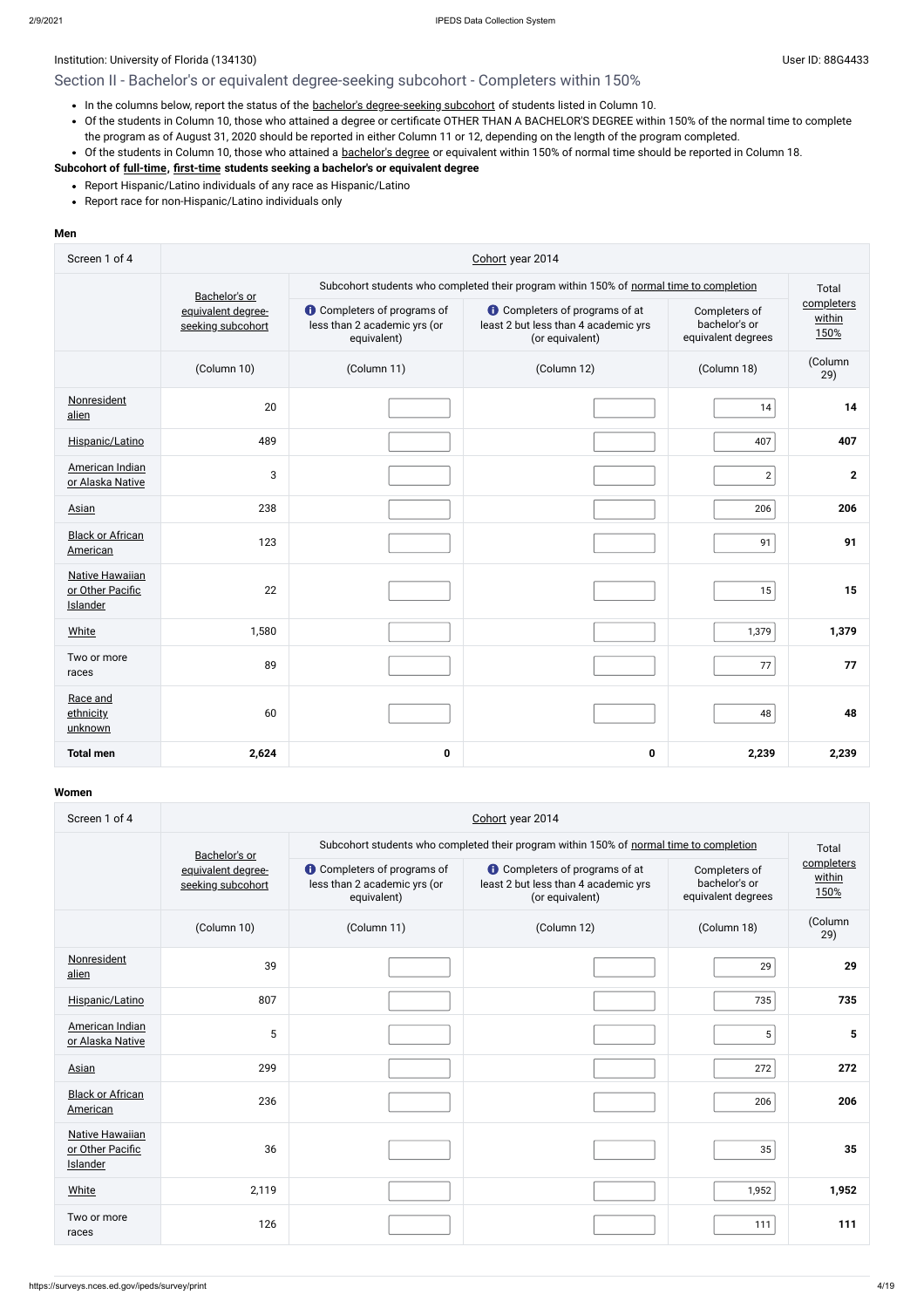# Section II - Bachelor's or equivalent degree-seeking subcohort - Completers within 150%

- In the columns below, report the status of the bachelor's [degree-seeking](javascript:openglossary(79)) subcohort of students listed in Column 10.
- Of the students in Column 10, those who attained a degree or certificate OTHER THAN A BACHELOR'S DEGREE within 150% of the normal time to complete the program as of August 31, 2020 should be reported in either Column 11 or 12, depending on the length of the program completed.
- Of the students in Column 10, those who attained a [bachelor's](javascript:openglossary(77)) degree or equivalent within 150% of normal time should be reported in Column 18.

- Report Hispanic/Latino individuals of any race as Hispanic/Latino
- Report race for non-Hispanic/Latino individuals only

### **Subcohort of [full-time](javascript:openglossary(259)), [first-time](javascript:openglossary(241)) students seeking a bachelor's or equivalent degree**

### **Men**

| Screen 1 of 4                                          | Cohort year 2014                        |                                                                                   |                                                                                                  |                                                      |                              |  |
|--------------------------------------------------------|-----------------------------------------|-----------------------------------------------------------------------------------|--------------------------------------------------------------------------------------------------|------------------------------------------------------|------------------------------|--|
|                                                        | Bachelor's or                           |                                                                                   | Subcohort students who completed their program within 150% of normal time to completion          | Total                                                |                              |  |
|                                                        | equivalent degree-<br>seeking subcohort | <b>O</b> Completers of programs of<br>less than 2 academic yrs (or<br>equivalent) | <b>O</b> Completers of programs of at<br>least 2 but less than 4 academic yrs<br>(or equivalent) | Completers of<br>bachelor's or<br>equivalent degrees | completers<br>within<br>150% |  |
|                                                        | (Column 10)                             | (Column 11)                                                                       | (Column 12)                                                                                      | (Column 18)                                          | (Column<br>29)               |  |
| Nonresident<br>alien                                   | 20                                      |                                                                                   |                                                                                                  | 14                                                   | 14                           |  |
| Hispanic/Latino                                        | 489                                     |                                                                                   |                                                                                                  | 407                                                  | 407                          |  |
| American Indian<br>or Alaska Native                    | 3                                       |                                                                                   |                                                                                                  | $\overline{2}$                                       | $\mathbf{2}$                 |  |
| Asian                                                  | 238                                     |                                                                                   |                                                                                                  | 206                                                  | 206                          |  |
| <b>Black or African</b><br>American                    | 123                                     |                                                                                   |                                                                                                  | 91                                                   | 91                           |  |
| <b>Native Hawaiian</b><br>or Other Pacific<br>Islander | 22                                      |                                                                                   |                                                                                                  | 15                                                   | 15                           |  |
| <b>White</b>                                           | 1,580                                   |                                                                                   |                                                                                                  | 1,379                                                | 1,379                        |  |
| Two or more<br>races                                   | 89                                      |                                                                                   |                                                                                                  | 77                                                   | 77                           |  |
| Race and<br>ethnicity<br>unknown                       | 60                                      |                                                                                   |                                                                                                  | 48                                                   | 48                           |  |
| <b>Total men</b>                                       | 2,624                                   | $\pmb{0}$                                                                         | $\mathbf 0$                                                                                      | 2,239                                                | 2,239                        |  |

| Screen 1 of 4                                          | Cohort year 2014                        |                                                                                   |                                                                                                  |                                                      |                              |  |
|--------------------------------------------------------|-----------------------------------------|-----------------------------------------------------------------------------------|--------------------------------------------------------------------------------------------------|------------------------------------------------------|------------------------------|--|
|                                                        | Bachelor's or                           |                                                                                   | Subcohort students who completed their program within 150% of normal time to completion          | Total                                                |                              |  |
|                                                        | equivalent degree-<br>seeking subcohort | <b>O</b> Completers of programs of<br>less than 2 academic yrs (or<br>equivalent) | <b>O</b> Completers of programs of at<br>least 2 but less than 4 academic yrs<br>(or equivalent) | Completers of<br>bachelor's or<br>equivalent degrees | completers<br>within<br>150% |  |
|                                                        | (Column 10)                             | (Column 11)                                                                       | (Column 12)                                                                                      | (Column 18)                                          | (Column<br>29)               |  |
| Nonresident<br>alien                                   | 39                                      |                                                                                   |                                                                                                  | 29                                                   | 29                           |  |
| Hispanic/Latino                                        | 807                                     |                                                                                   |                                                                                                  | 735                                                  | 735                          |  |
| American Indian<br>or Alaska Native                    | 5                                       |                                                                                   |                                                                                                  | 5                                                    | 5                            |  |
| Asian                                                  | 299                                     |                                                                                   |                                                                                                  | 272                                                  | 272                          |  |
| <b>Black or African</b><br>American                    | 236                                     |                                                                                   |                                                                                                  | 206                                                  | 206                          |  |
| <b>Native Hawaiian</b><br>or Other Pacific<br>Islander | 36                                      |                                                                                   |                                                                                                  | 35                                                   | 35                           |  |
| <b>White</b>                                           | 2,119                                   |                                                                                   |                                                                                                  | 1,952                                                | 1,952                        |  |
| Two or more<br>races                                   | 126                                     |                                                                                   |                                                                                                  | 111                                                  | 111                          |  |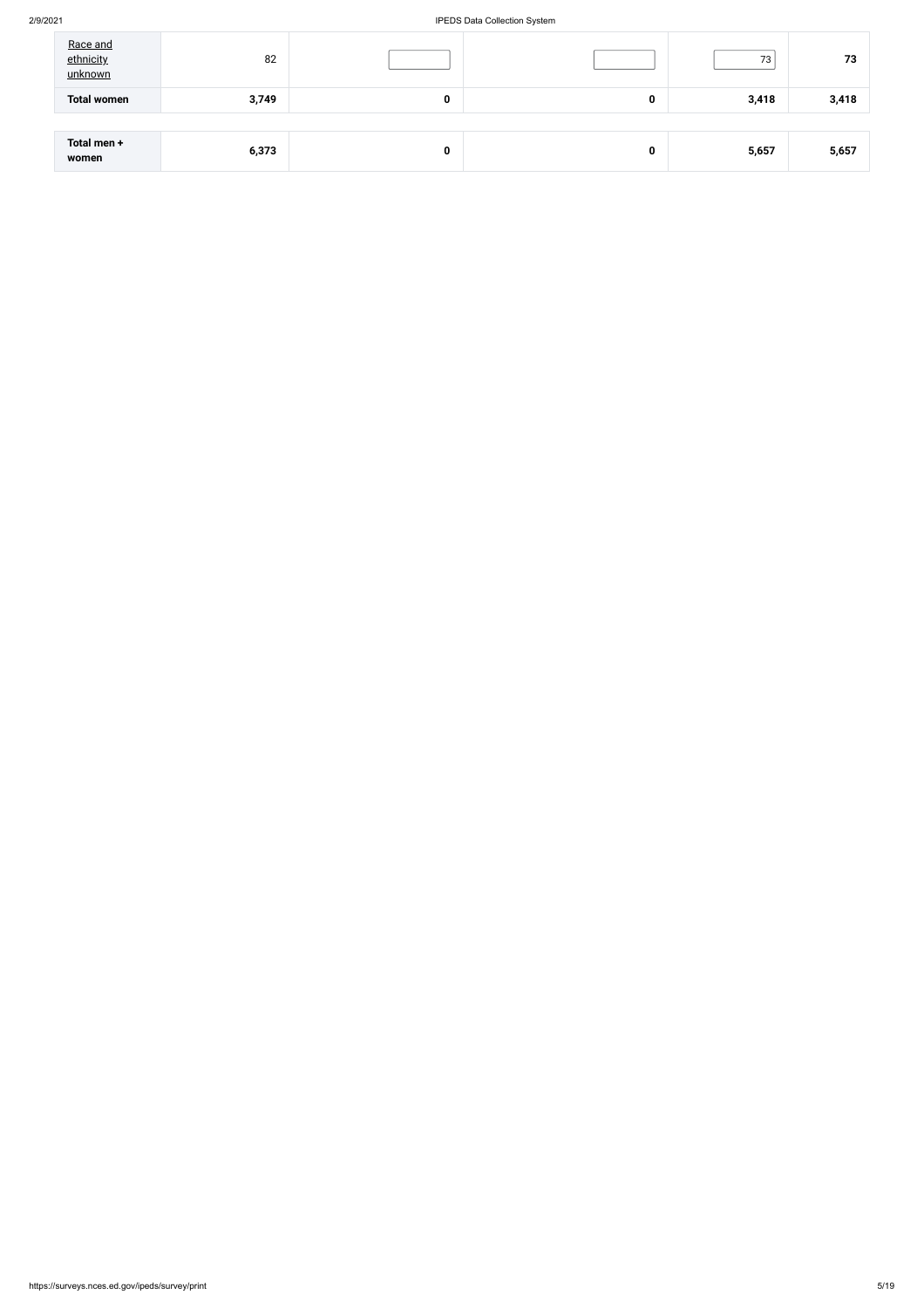### 2/9/2021 IPEDS Data Collection System

| Race and<br>ethnicity<br>unknown | 82    |   |   | 73    | 73    |
|----------------------------------|-------|---|---|-------|-------|
| <b>Total women</b>               | 3,749 | 0 | 0 | 3,418 | 3,418 |
|                                  |       |   |   |       |       |
| Total men +<br>women             | 6,373 | 0 | 0 | 5,657 | 5,657 |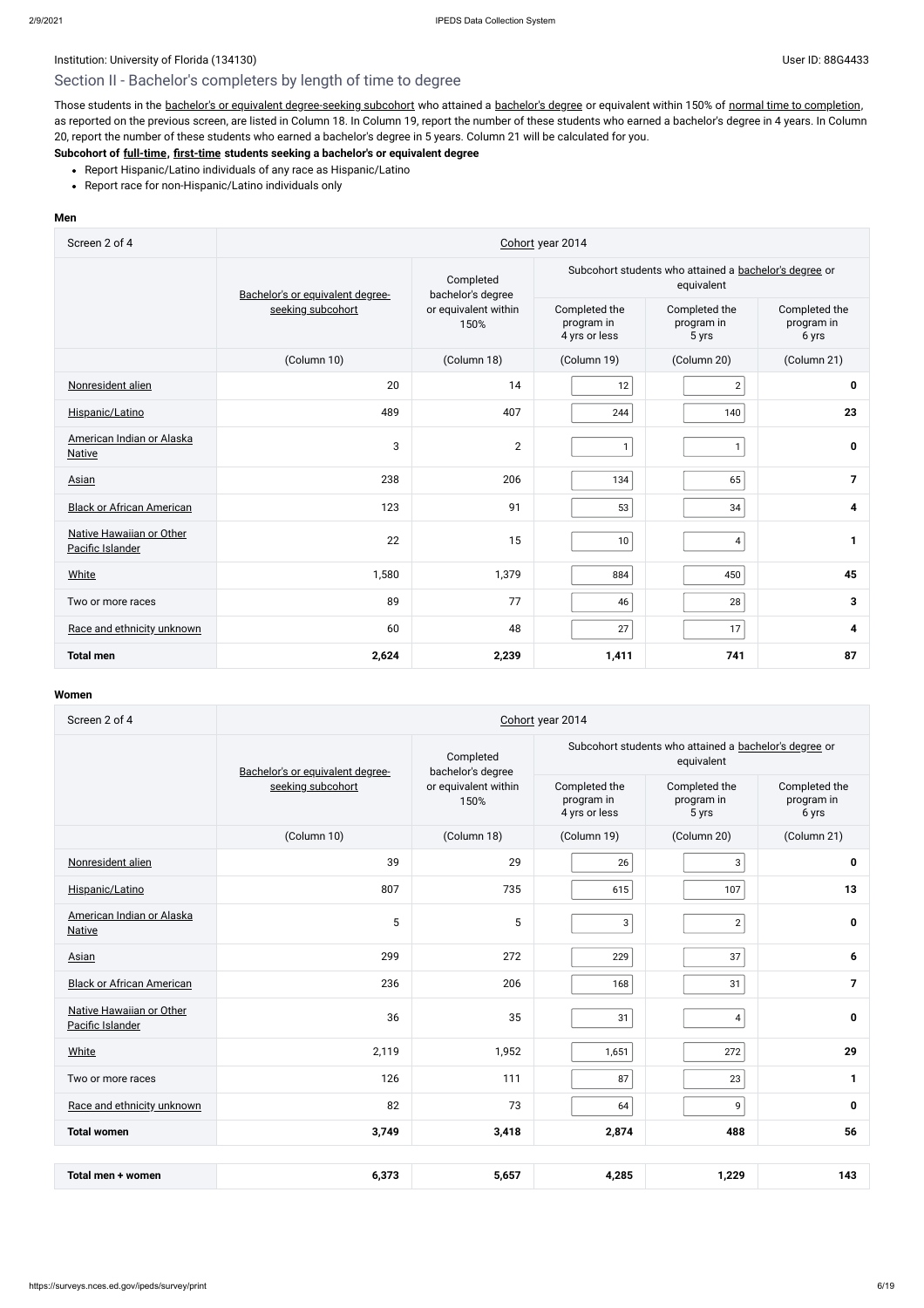# Institution: University of Florida (134130) Contract the User ID: 88G4433 User ID: 88G4433 Section II - Bachelor's completers by length of time to degree

Those students in the bachelor's or equivalent [degree-seeking](javascript:openglossary(79)) subcohort who attained a [bachelor's](javascript:openglossary(77)) degree or equivalent within 150% of normal time to [completion](javascript:openglossary(421)), as reported on the previous screen, are listed in Column 18. In Column 19, report the number of these students who earned a bachelor's degree in 4 years. In Column 20, report the number of these students who earned a bachelor's degree in 5 years. Column 21 will be calculated for you.

- Report Hispanic/Latino individuals of any race as Hispanic/Latino
- Report race for non-Hispanic/Latino individuals only

### **Subcohort of [full-time](javascript:openglossary(259)), [first-time](javascript:openglossary(241)) students seeking a bachelor's or equivalent degree**

#### **Men**

| Screen 2 of 4                                | Cohort year 2014                 |                                                                |                                              |                                                                      |                                      |  |
|----------------------------------------------|----------------------------------|----------------------------------------------------------------|----------------------------------------------|----------------------------------------------------------------------|--------------------------------------|--|
|                                              | Bachelor's or equivalent degree- | Completed<br>bachelor's degree<br>or equivalent within<br>150% |                                              | Subcohort students who attained a bachelor's degree or<br>equivalent |                                      |  |
|                                              | seeking subcohort                |                                                                | Completed the<br>program in<br>4 yrs or less | Completed the<br>program in<br>5 yrs                                 | Completed the<br>program in<br>6 yrs |  |
|                                              | (Column 10)                      | (Column 18)                                                    | (Column 19)                                  | (Column 20)                                                          | (Column 21)                          |  |
| Nonresident alien                            | 20                               | 14                                                             | 12                                           | $\overline{2}$                                                       | 0                                    |  |
| Hispanic/Latino                              | 489                              | 407                                                            | 244                                          | 140                                                                  | 23                                   |  |
| American Indian or Alaska<br><b>Native</b>   | 3                                | $\overline{2}$                                                 | $\mathbf{1}$                                 | 1                                                                    | $\pmb{0}$                            |  |
| Asian                                        | 238                              | 206                                                            | 134                                          | 65                                                                   | $\overline{\mathbf{z}}$              |  |
| <b>Black or African American</b>             | 123                              | 91                                                             | 53                                           | 34                                                                   | 4                                    |  |
| Native Hawaiian or Other<br>Pacific Islander | 22                               | 15                                                             | 10                                           | 4                                                                    | 1                                    |  |
| White                                        | 1,580                            | 1,379                                                          | 884                                          | 450                                                                  | 45                                   |  |
| Two or more races                            | 89                               | 77                                                             | 46                                           | 28                                                                   | $\mathbf{3}$                         |  |
| Race and ethnicity unknown                   | 60                               | 48                                                             | 27                                           | 17                                                                   | 4                                    |  |
| <b>Total men</b>                             | 2,624                            | 2,239                                                          | 1,411                                        | 741                                                                  | 87                                   |  |

| Screen 2 of 4                                | Cohort year 2014                 |                                |                                                                      |                                      |                                      |  |
|----------------------------------------------|----------------------------------|--------------------------------|----------------------------------------------------------------------|--------------------------------------|--------------------------------------|--|
|                                              | Bachelor's or equivalent degree- | Completed<br>bachelor's degree | Subcohort students who attained a bachelor's degree or<br>equivalent |                                      |                                      |  |
|                                              | seeking subcohort                | or equivalent within<br>150%   | Completed the<br>program in<br>4 yrs or less                         | Completed the<br>program in<br>5 yrs | Completed the<br>program in<br>6 yrs |  |
|                                              | (Column 10)                      | (Column 18)                    | (Column 19)                                                          | (Column 20)                          | (Column 21)                          |  |
| Nonresident alien                            | 39                               | 29                             | 26                                                                   | 3                                    | 0                                    |  |
| Hispanic/Latino                              | 807                              | 735                            | 615                                                                  | 107                                  | 13                                   |  |
| American Indian or Alaska<br><b>Native</b>   | 5                                | $\sqrt{5}$                     | 3                                                                    | $\sqrt{2}$                           | 0                                    |  |
| Asian                                        | 299                              | 272                            | 229                                                                  | 37                                   | 6                                    |  |
| <b>Black or African American</b>             | 236                              | 206                            | 168                                                                  | 31                                   | $\overline{7}$                       |  |
| Native Hawaiian or Other<br>Pacific Islander | 36                               | 35                             | 31                                                                   | $\overline{\mathbf{4}}$              | $\mathbf 0$                          |  |
| White                                        | 2,119                            | 1,952                          | 1,651                                                                | 272                                  | 29                                   |  |
| Two or more races                            | 126                              | 111                            | 87                                                                   | 23                                   | $\mathbf{1}$                         |  |
| Race and ethnicity unknown                   | 82                               | 73                             | 64                                                                   | 9                                    | 0                                    |  |
| <b>Total women</b>                           | 3,749                            | 3,418                          | 2,874                                                                | 488                                  | 56                                   |  |

| 1.285<br>$\sim$ $-$<br>$\sim$<br>ຳາດ<br>women<br>Total men<br>. כס.נ<br>u.u<br>$\cdot$ . 2. 2. $\cdot$ | $\overline{\phantom{a}}$<br>,,,<br>-- |
|--------------------------------------------------------------------------------------------------------|---------------------------------------|
|--------------------------------------------------------------------------------------------------------|---------------------------------------|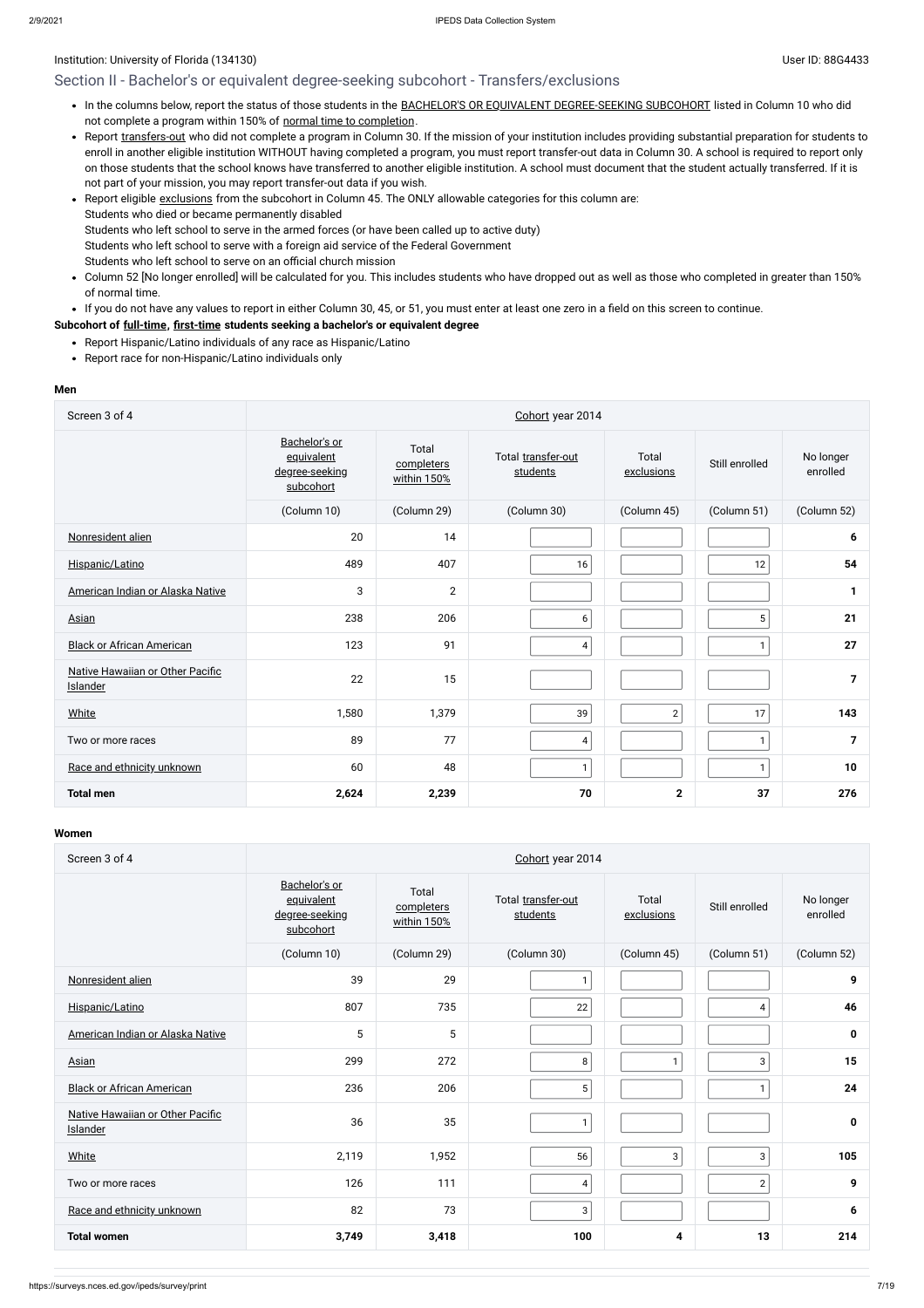### Section II - Bachelor's or equivalent degree-seeking subcohort - Transfers/exclusions

- . In the columns below, report the status of those students in the BACHELOR'S OR EQUIVALENT [DEGREE-SEEKING SUBCOHORT](javascript:openglossary(79)) listed in Column 10 who did not complete a program within 150% of normal time to [completion](javascript:openglossary(421)).
- Report [transfers-out](javascript:openglossary(657)) who did not complete a program in Column 30. If the mission of your institution includes providing substantial preparation for students to enroll in another eligible institution WITHOUT having completed a program, you must report transfer-out data in Column 30. A school is required to report only on those students that the school knows have transferred to another eligible institution. A school must document that the student actually transferred. If it is not part of your mission, you may report transfer-out data if you wish.
- Report eligible [exclusions](javascript:openglossary(207)) from the subcohort in Column 45. The ONLY allowable categories for this column are: Students who died or became permanently disabled Students who left school to serve in the armed forces (or have been called up to active duty) Students who left school to serve with a foreign aid service of the Federal Government Students who left school to serve on an official church mission
- Column 52 [No longer enrolled] will be calculated for you. This includes students who have dropped out as well as those who completed in greater than 150%  $\bullet$ of normal time.

• If you do not have any values to report in either Column 30, 45, or 51, you must enter at least one zero in a field on this screen to continue.

### **Subcohort of [full-time](javascript:openglossary(259)), [first-time](javascript:openglossary(241)) students seeking a bachelor's or equivalent degree**

- Report Hispanic/Latino individuals of any race as Hispanic/Latino
- Report race for non-Hispanic/Latino individuals only

#### **Men**

| Screen 3 of 4                                | Cohort year 2014                                           |                                    |                                |                     |                |                       |  |
|----------------------------------------------|------------------------------------------------------------|------------------------------------|--------------------------------|---------------------|----------------|-----------------------|--|
|                                              | Bachelor's or<br>equivalent<br>degree-seeking<br>subcohort | Total<br>completers<br>within 150% | Total transfer-out<br>students | Total<br>exclusions | Still enrolled | No longer<br>enrolled |  |
|                                              | (Column 10)                                                | (Column 29)                        | (Column 30)                    | (Column 45)         | (Column 51)    | (Column 52)           |  |
| Nonresident alien                            | 20                                                         | 14                                 |                                |                     |                | 6                     |  |
| Hispanic/Latino                              | 489                                                        | 407                                | 16                             |                     | 12             | 54                    |  |
| American Indian or Alaska Native             | 3                                                          | $\overline{2}$                     |                                |                     |                | 1                     |  |
| Asian                                        | 238                                                        | 206                                | 6                              |                     | 5 <sup>1</sup> | 21                    |  |
| <b>Black or African American</b>             | 123                                                        | 91                                 | $\overline{\mathbf{4}}$        |                     |                | 27                    |  |
| Native Hawaiian or Other Pacific<br>Islander | 22                                                         | 15                                 |                                |                     |                | $\overline{7}$        |  |
| White                                        | 1,580                                                      | 1,379                              | 39                             | $\overline{2}$      | 17             | 143                   |  |
| Two or more races                            | 89                                                         | 77                                 | $\overline{\mathbf{4}}$        |                     | $\mathbf{1}$   | $\overline{7}$        |  |
| Race and ethnicity unknown                   | 60                                                         | 48                                 | $\mathbf{1}$                   |                     | $\mathbf{1}$   | 10                    |  |
| <b>Total men</b>                             | 2,624                                                      | 2,239                              | 70                             | $\mathbf 2$         | 37             | 276                   |  |

| Screen 3 of 4                                | Cohort year 2014                                           |                                    |                                |                     |                |                       |  |  |
|----------------------------------------------|------------------------------------------------------------|------------------------------------|--------------------------------|---------------------|----------------|-----------------------|--|--|
|                                              | Bachelor's or<br>equivalent<br>degree-seeking<br>subcohort | Total<br>completers<br>within 150% | Total transfer-out<br>students | Total<br>exclusions | Still enrolled | No longer<br>enrolled |  |  |
|                                              | (Column 10)                                                | (Column 29)                        | (Column 30)                    | (Column 45)         | (Column 51)    | (Column 52)           |  |  |
| Nonresident alien                            | 39                                                         | 29                                 | $\mathbf{1}$                   |                     |                | 9                     |  |  |
| Hispanic/Latino                              | 807                                                        | 735                                | 22                             |                     | 4              | 46                    |  |  |
| American Indian or Alaska Native             | 5                                                          | 5                                  |                                |                     |                | $\mathbf 0$           |  |  |
| <b>Asian</b>                                 | 299                                                        | 272                                | $\, 8$                         | $\mathbf{1}$        | $\mathbf{3}$   | 15                    |  |  |
| <b>Black or African American</b>             | 236                                                        | 206                                | $\sqrt{5}$                     |                     | $\mathbf{1}$   | 24                    |  |  |
| Native Hawaiian or Other Pacific<br>Islander | 36                                                         | 35                                 | $\mathbf{1}$                   |                     |                | $\mathbf 0$           |  |  |
| <b>White</b>                                 | 2,119                                                      | 1,952                              | 56                             | $\mathbf{3}$        | 3              | 105                   |  |  |
| Two or more races                            | 126                                                        | 111                                | 4                              |                     | $\mathbf{2}$   | 9                     |  |  |
| Race and ethnicity unknown                   | 82                                                         | 73                                 | 3                              |                     |                | 6                     |  |  |
| <b>Total women</b>                           | 3,749                                                      | 3,418                              | 100                            | 4                   | 13             | 214                   |  |  |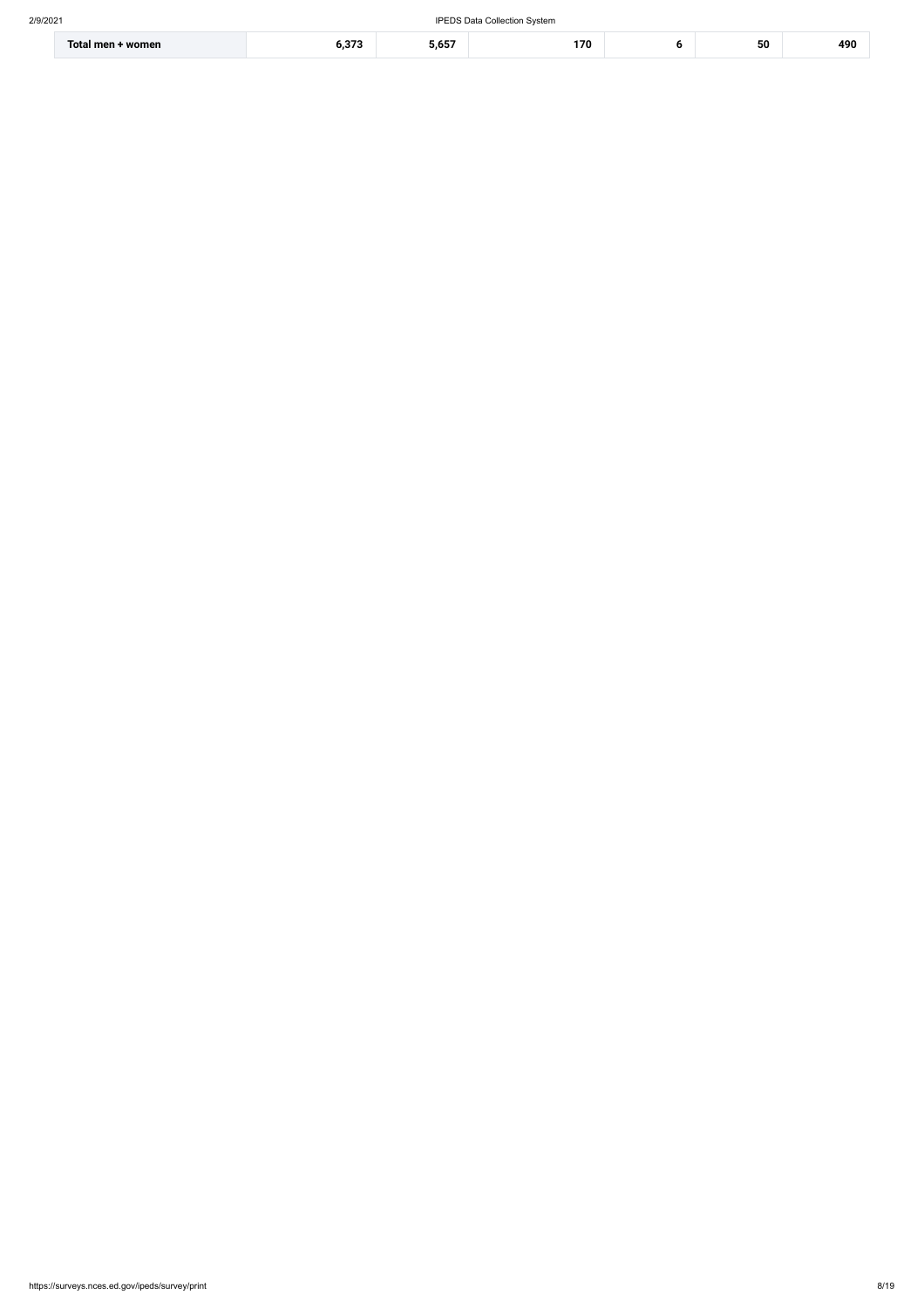| Total men +<br>· women | $\sim$<br>. | ---<br>J.UJ | 170 | 50 | 490 |
|------------------------|-------------|-------------|-----|----|-----|
|                        |             |             |     |    |     |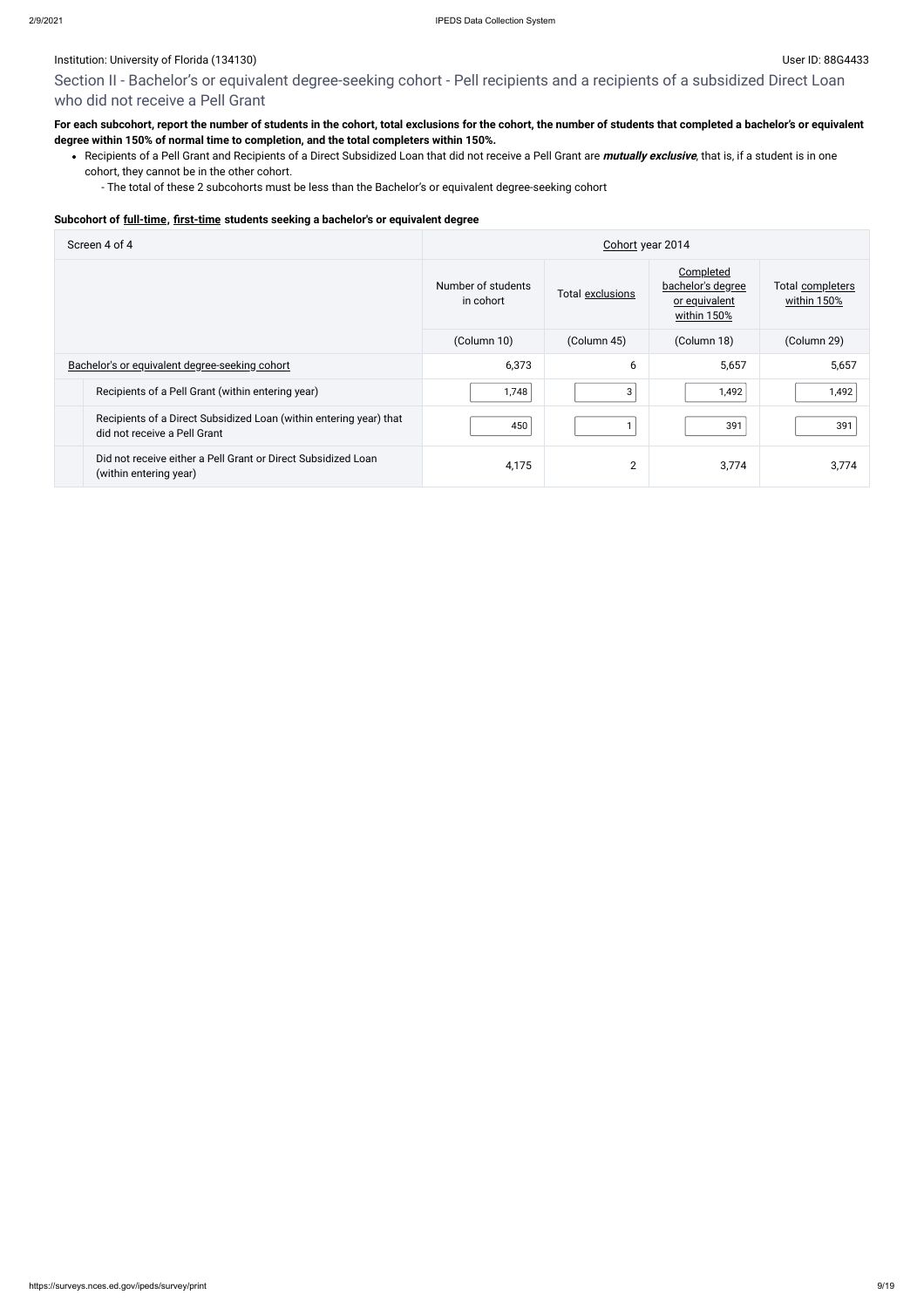# Section II - Bachelor's or equivalent degree-seeking cohort - Pell recipients and a recipients of a subsidized Direct Loan who did not receive a Pell Grant

### **For each subcohort, report the number of students in the cohort, total exclusions for the cohort, the number of students that completed a bachelor's or equivalent degree within 150% of normal time to completion, and the total completers within 150%.**

Recipients of a Pell Grant and Recipients of a Direct Subsidized Loan that did not receive a Pell Grant are **mutually exclusive**, that is, if a student is in one cohort, they cannot be in the other cohort.

- The total of these 2 subcohorts must be less than the Bachelor's or equivalent degree-seeking cohort

#### **Subcohort of [full-time](javascript:openglossary(259)), [first-time](javascript:openglossary(241)) students seeking a bachelor's or equivalent degree**

| Screen 4 of 4                                                                                      | Cohort year 2014                |                  |                                                                |                                 |  |
|----------------------------------------------------------------------------------------------------|---------------------------------|------------------|----------------------------------------------------------------|---------------------------------|--|
|                                                                                                    | Number of students<br>in cohort | Total exclusions | Completed<br>bachelor's degree<br>or equivalent<br>within 150% | Total completers<br>within 150% |  |
|                                                                                                    | (Column 10)                     | (Column 45)      | (Column 18)                                                    | (Column 29)                     |  |
| Bachelor's or equivalent degree-seeking cohort                                                     | 6,373                           | 6                | 5,657                                                          | 5,657                           |  |
| Recipients of a Pell Grant (within entering year)                                                  | 1,748                           | 3                | 1,492                                                          | 1,492                           |  |
| Recipients of a Direct Subsidized Loan (within entering year) that<br>did not receive a Pell Grant | 450                             |                  | 391                                                            | 391                             |  |
| Did not receive either a Pell Grant or Direct Subsidized Loan<br>(within entering year)            | 4,175                           | $\overline{2}$   | 3,774                                                          | 3,774                           |  |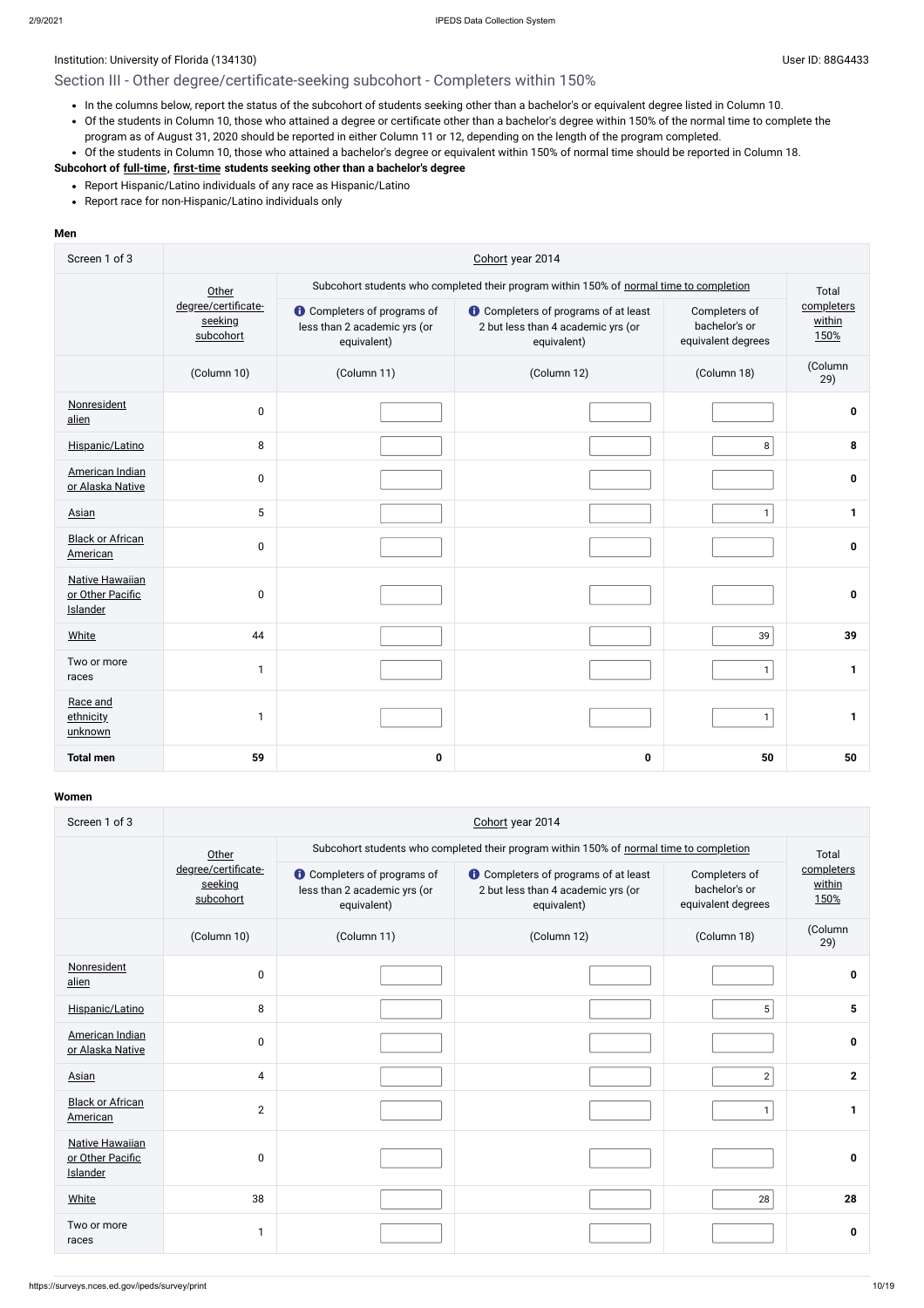### Institution: University of Florida (134130) Channels and the User ID: 88G4433

# Section III - Other degree/certificate-seeking subcohort - Completers within 150%

- Report Hispanic/Latino individuals of any race as Hispanic/Latino
- Report race for non-Hispanic/Latino individuals only
- In the columns below, report the status of the subcohort of students seeking other than a bachelor's or equivalent degree listed in Column 10.
- Of the students in Column 10, those who attained a degree or certificate other than a bachelor's degree within 150% of the normal time to complete the program as of August 31, 2020 should be reported in either Column 11 or 12, depending on the length of the program completed.
- Of the students in Column 10, those who attained a bachelor's degree or equivalent within 150% of normal time should be reported in Column 18.

### **Subcohort of [full-time](javascript:openglossary(259)), [first-time](javascript:openglossary(241)) students seeking other than a bachelor's degree**

#### **Men**

| Screen 1 of 3                                          | Cohort year 2014                            |                                                                                         |                                                                                                  |                                                      |                              |  |  |  |
|--------------------------------------------------------|---------------------------------------------|-----------------------------------------------------------------------------------------|--------------------------------------------------------------------------------------------------|------------------------------------------------------|------------------------------|--|--|--|
|                                                        | Other                                       | Subcohort students who completed their program within 150% of normal time to completion |                                                                                                  |                                                      |                              |  |  |  |
|                                                        | degree/certificate-<br>seeking<br>subcohort | <b>O</b> Completers of programs of<br>less than 2 academic yrs (or<br>equivalent)       | <b>t</b> Completers of programs of at least<br>2 but less than 4 academic yrs (or<br>equivalent) | Completers of<br>bachelor's or<br>equivalent degrees | completers<br>within<br>150% |  |  |  |
|                                                        | (Column 10)                                 | (Column 11)                                                                             | (Column 12)                                                                                      | (Column 18)                                          | (Column<br>29)               |  |  |  |
| Nonresident<br>alien                                   | $\pmb{0}$                                   |                                                                                         |                                                                                                  |                                                      | $\mathbf 0$                  |  |  |  |
| Hispanic/Latino                                        | 8                                           |                                                                                         |                                                                                                  | 8                                                    | 8                            |  |  |  |
| American Indian<br>or Alaska Native                    | $\pmb{0}$                                   |                                                                                         |                                                                                                  |                                                      | $\mathbf 0$                  |  |  |  |
| Asian                                                  | 5                                           |                                                                                         |                                                                                                  | $\mathbf{1}$                                         | $\mathbf{1}$                 |  |  |  |
| <b>Black or African</b><br>American                    | $\mathbf 0$                                 |                                                                                         |                                                                                                  |                                                      | $\mathbf 0$                  |  |  |  |
| <b>Native Hawaiian</b><br>or Other Pacific<br>Islander | $\pmb{0}$                                   |                                                                                         |                                                                                                  |                                                      | $\pmb{0}$                    |  |  |  |
| <b>White</b>                                           | 44                                          |                                                                                         |                                                                                                  | 39                                                   | 39                           |  |  |  |
| Two or more<br>races                                   | 1                                           |                                                                                         |                                                                                                  | $\mathbf{1}$                                         | $\mathbf 1$                  |  |  |  |
| Race and<br>ethnicity<br>unknown                       | 1                                           |                                                                                         |                                                                                                  | $\mathbf{1}$                                         | 1                            |  |  |  |
| <b>Total men</b>                                       | 59                                          | $\mathbf 0$                                                                             | $\bf{0}$                                                                                         | 50                                                   | 50                           |  |  |  |

| Screen 1 of 3                                          | Cohort year 2014                            |                                                                                         |                                                                                                  |                                                      |                              |  |  |  |
|--------------------------------------------------------|---------------------------------------------|-----------------------------------------------------------------------------------------|--------------------------------------------------------------------------------------------------|------------------------------------------------------|------------------------------|--|--|--|
|                                                        | Other                                       | Subcohort students who completed their program within 150% of normal time to completion |                                                                                                  |                                                      |                              |  |  |  |
|                                                        | degree/certificate-<br>seeking<br>subcohort | <b>O</b> Completers of programs of<br>less than 2 academic yrs (or<br>equivalent)       | <b>O</b> Completers of programs of at least<br>2 but less than 4 academic yrs (or<br>equivalent) | Completers of<br>bachelor's or<br>equivalent degrees | completers<br>within<br>150% |  |  |  |
|                                                        | (Column 10)                                 | (Column 11)                                                                             | (Column 12)                                                                                      | (Column 18)                                          | (Column<br>29)               |  |  |  |
| Nonresident<br>alien                                   | $\mathbf 0$                                 |                                                                                         |                                                                                                  |                                                      | 0                            |  |  |  |
| Hispanic/Latino                                        | 8                                           |                                                                                         |                                                                                                  | 5 <sup>1</sup>                                       | $5\phantom{1}$               |  |  |  |
| American Indian<br>or Alaska Native                    | $\mathbf 0$                                 |                                                                                         |                                                                                                  |                                                      | 0                            |  |  |  |
| <b>Asian</b>                                           | 4                                           |                                                                                         |                                                                                                  | $\overline{2}$                                       | $\mathbf{2}$                 |  |  |  |
| <b>Black or African</b><br>American                    | $\overline{2}$                              |                                                                                         |                                                                                                  | $\mathbf 1$                                          | $\mathbf 1$                  |  |  |  |
| Native Hawaiian<br>or Other Pacific<br><b>Islander</b> | 0                                           |                                                                                         |                                                                                                  |                                                      | $\mathbf 0$                  |  |  |  |
| White                                                  | 38                                          |                                                                                         |                                                                                                  | 28                                                   | 28                           |  |  |  |
| Two or more<br>races                                   | 1                                           |                                                                                         |                                                                                                  |                                                      | 0                            |  |  |  |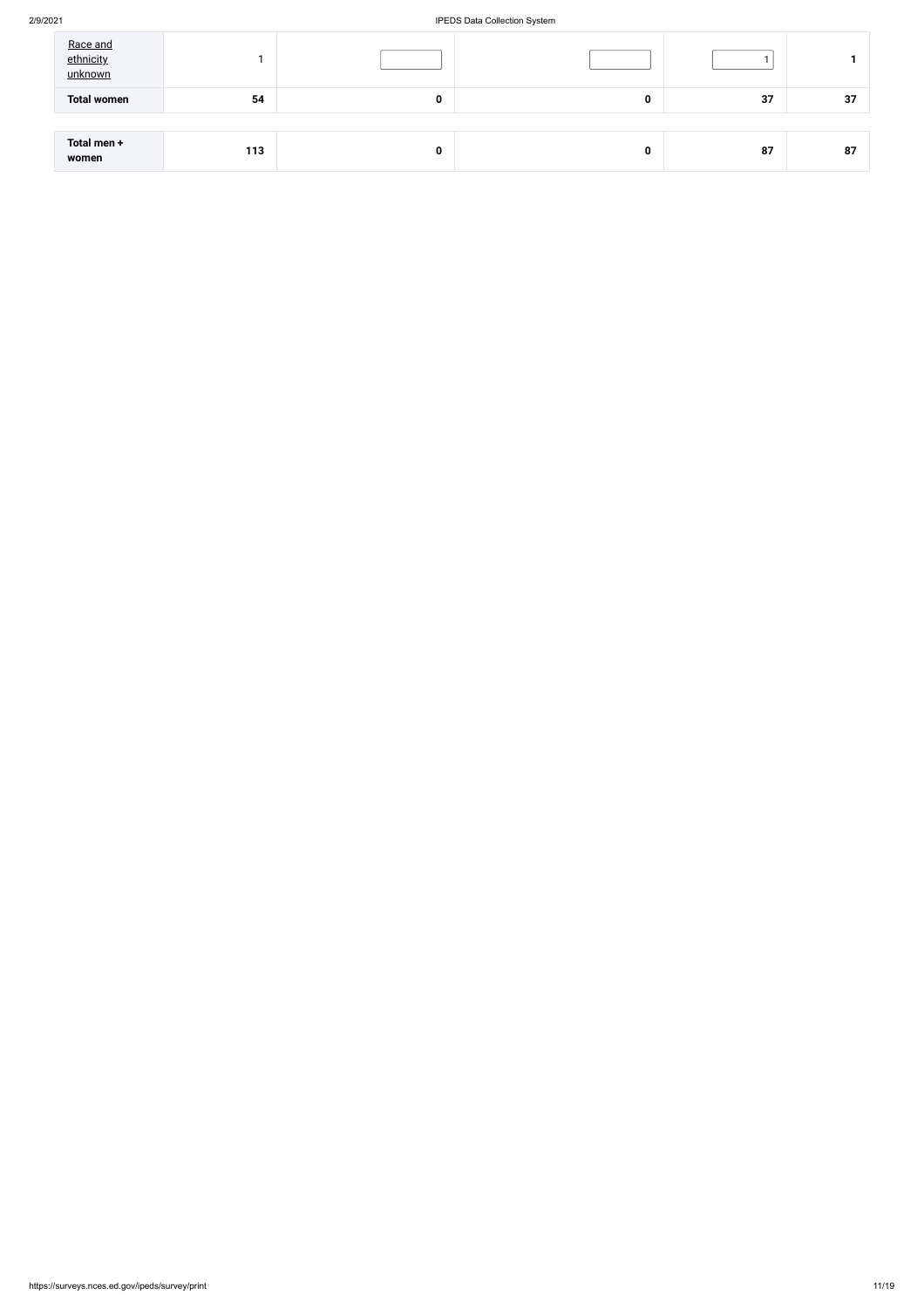### 2/9/2021 IPEDS Data Collection System

| Race and<br>ethnicity<br>unknown |     |          |   |    |    |
|----------------------------------|-----|----------|---|----|----|
| <b>Total women</b>               | 54  | $\bf{0}$ | 0 | 37 | 37 |
|                                  |     |          |   |    |    |
| Total men +<br>women             | 113 | 0        | 0 | 87 | 87 |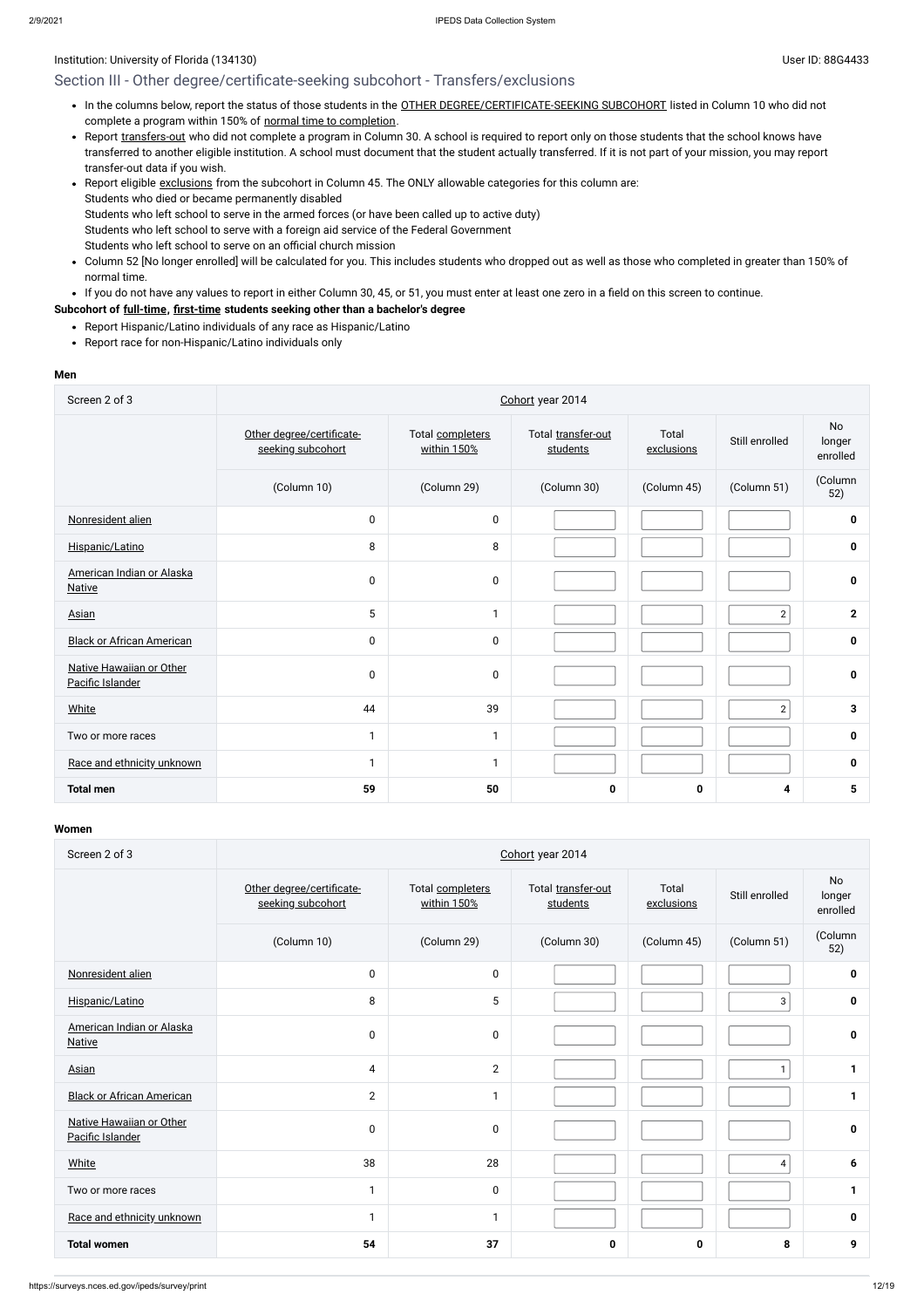### Section III - Other degree/certificate-seeking subcohort - Transfers/exclusions

- . In the columns below, report the status of those students in the OTHER [DEGREE/CERTIFICATE-SEEKING SUBCOHORT](javascript:openglossary(441)) listed in Column 10 who did not complete a program within 150% of normal time to [completion](javascript:openglossary(421)).
- Report [transfers-out](javascript:openglossary(657)) who did not complete a program in Column 30. A school is required to report only on those students that the school knows have transferred to another eligible institution. A school must document that the student actually transferred. If it is not part of your mission, you may report transfer-out data if you wish.
- Report eligible [exclusions](javascript:openglossary(207)) from the subcohort in Column 45. The ONLY allowable categories for this column are: Students who died or became permanently disabled Students who left school to serve in the armed forces (or have been called up to active duty) Students who left school to serve with a foreign aid service of the Federal Government Students who left school to serve on an official church mission
- Column 52 [No longer enrolled] will be calculated for you. This includes students who dropped out as well as those who completed in greater than 150% of normal time.
- If you do not have any values to report in either Column 30, 45, or 51, you must enter at least one zero in a field on this screen to continue.

- Report Hispanic/Latino individuals of any race as Hispanic/Latino
- Report race for non-Hispanic/Latino individuals only

### **Subcohort of [full-time](javascript:openglossary(259)), [first-time](javascript:openglossary(241)) students seeking other than a bachelor's degree**

#### **Men**

| Screen 2 of 3                                | Cohort year 2014                               |                                 |                                |                     |                |                          |  |  |
|----------------------------------------------|------------------------------------------------|---------------------------------|--------------------------------|---------------------|----------------|--------------------------|--|--|
|                                              | Other degree/certificate-<br>seeking subcohort | Total completers<br>within 150% | Total transfer-out<br>students | Total<br>exclusions | Still enrolled | No<br>longer<br>enrolled |  |  |
|                                              | (Column 10)                                    | (Column 29)                     | (Column 30)                    | (Column 45)         | (Column 51)    | (Column<br>52)           |  |  |
| Nonresident alien                            | $\pmb{0}$                                      | $\pmb{0}$                       |                                |                     |                | $\mathbf 0$              |  |  |
| Hispanic/Latino                              | 8                                              | 8                               |                                |                     |                | $\mathbf 0$              |  |  |
| American Indian or Alaska<br><b>Native</b>   | $\mathbf 0$                                    | $\pmb{0}$                       |                                |                     |                | $\mathbf 0$              |  |  |
| Asian                                        | 5                                              | 1                               |                                |                     | $\overline{2}$ | $\mathbf{2}$             |  |  |
| <b>Black or African American</b>             | $\mathbf 0$                                    | $\pmb{0}$                       |                                |                     |                | $\mathbf 0$              |  |  |
| Native Hawaiian or Other<br>Pacific Islander | $\mathbf 0$                                    | $\pmb{0}$                       |                                |                     |                | 0                        |  |  |
| <b>White</b>                                 | 44                                             | 39                              |                                |                     | $\overline{2}$ | 3                        |  |  |
| Two or more races                            |                                                | $\mathbf{1}$                    |                                |                     |                | $\mathbf 0$              |  |  |
| Race and ethnicity unknown                   |                                                | 1                               |                                |                     |                | $\mathbf 0$              |  |  |
| <b>Total men</b>                             | 59                                             | 50                              | 0                              | 0                   | 4              | 5                        |  |  |

| Screen 2 of 3                                | Cohort year 2014                               |                                 |                                |                     |                |                                 |  |  |
|----------------------------------------------|------------------------------------------------|---------------------------------|--------------------------------|---------------------|----------------|---------------------------------|--|--|
|                                              | Other degree/certificate-<br>seeking subcohort | Total completers<br>within 150% | Total transfer-out<br>students | Total<br>exclusions | Still enrolled | <b>No</b><br>longer<br>enrolled |  |  |
|                                              | (Column 10)                                    | (Column 29)                     | (Column 30)                    | (Column 45)         | (Column 51)    | (Column<br>52)                  |  |  |
| Nonresident alien                            | $\pmb{0}$                                      | $\pmb{0}$                       |                                |                     |                | 0                               |  |  |
| Hispanic/Latino                              | 8                                              | 5                               |                                |                     | 3              | $\mathbf 0$                     |  |  |
| American Indian or Alaska<br><b>Native</b>   | $\pmb{0}$                                      | 0                               |                                |                     |                | $\mathbf 0$                     |  |  |
| Asian                                        | 4                                              | $\overline{2}$                  |                                |                     |                | 1                               |  |  |
| <b>Black or African American</b>             | 2                                              | $\mathbf{1}$                    |                                |                     |                | $\mathbf{1}$                    |  |  |
| Native Hawaiian or Other<br>Pacific Islander | $\pmb{0}$                                      | 0                               |                                |                     |                | $\mathbf 0$                     |  |  |
| White                                        | 38                                             | 28                              |                                |                     | 4              | 6                               |  |  |
| Two or more races                            | $\mathbf{1}$                                   | 0                               |                                |                     |                | 1                               |  |  |
| Race and ethnicity unknown                   | $\mathbf{1}$                                   | $\mathbf{1}$                    |                                |                     |                | 0                               |  |  |
| <b>Total women</b>                           | 54                                             | 37                              | 0                              | $\mathbf 0$         | 8              | 9                               |  |  |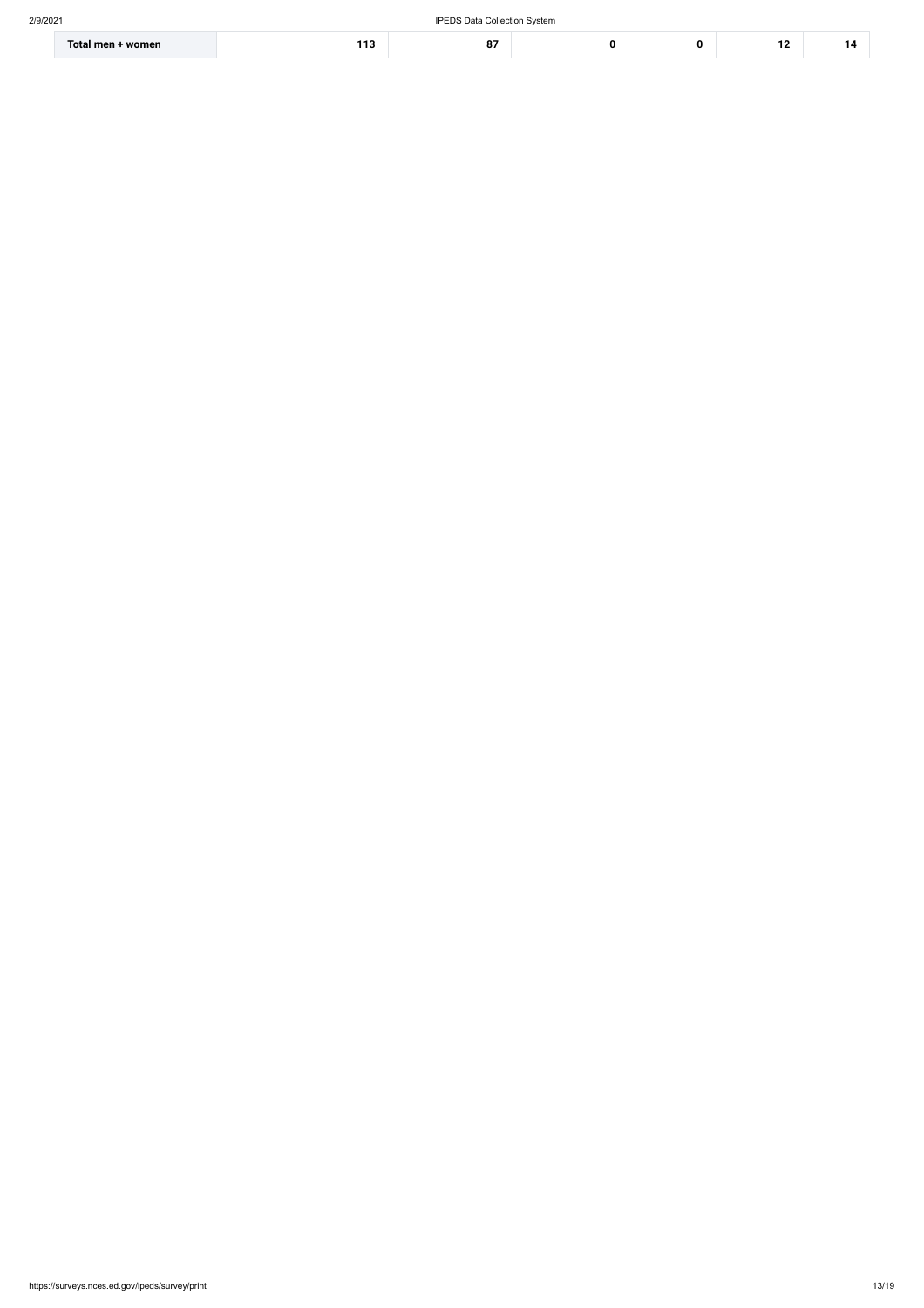| ⊦ women<br>Total men + | . .<br>. | ົ<br>О. |  |  | 1 A<br>. . |  |
|------------------------|----------|---------|--|--|------------|--|
|------------------------|----------|---------|--|--|------------|--|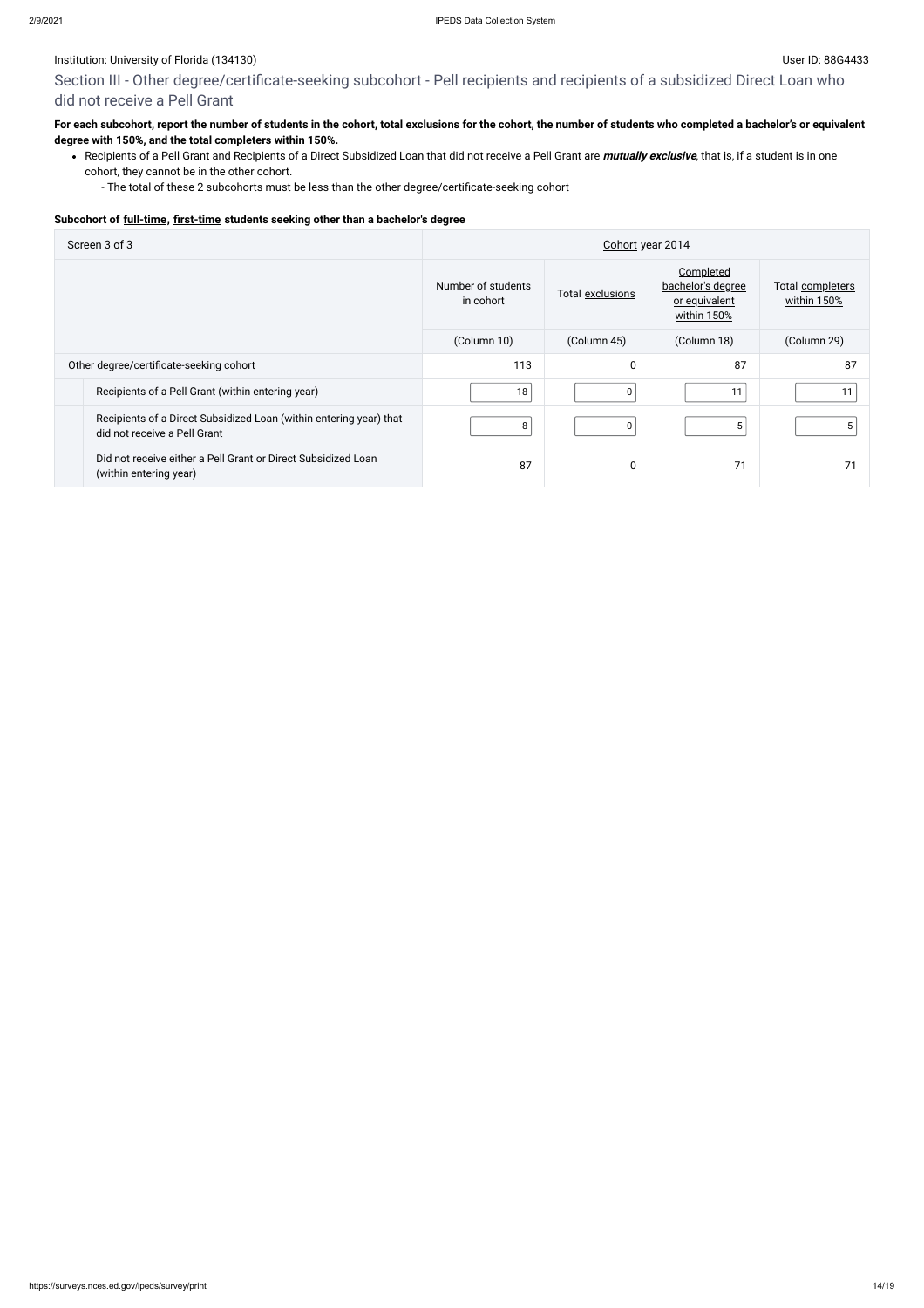Section III - Other degree/certificate-seeking subcohort - Pell recipients and recipients of a subsidized Direct Loan who did not receive a Pell Grant

### **For each subcohort, report the number of students in the cohort, total exclusions for the cohort, the number of students who completed a bachelor's or equivalent degree with 150%, and the total completers within 150%.**

Recipients of a Pell Grant and Recipients of a Direct Subsidized Loan that did not receive a Pell Grant are **mutually exclusive**, that is, if a student is in one cohort, they cannot be in the other cohort.

- The total of these 2 subcohorts must be less than the other degree/certificate-seeking cohort

#### **Subcohort of [full-time](javascript:openglossary(259)), [first-time](javascript:openglossary(241)) students seeking other than a bachelor's degree**

| Screen 3 of 3                                                                                      | Cohort year 2014                |                  |                                                                |                                 |  |
|----------------------------------------------------------------------------------------------------|---------------------------------|------------------|----------------------------------------------------------------|---------------------------------|--|
|                                                                                                    | Number of students<br>in cohort | Total exclusions | Completed<br>bachelor's degree<br>or equivalent<br>within 150% | Total completers<br>within 150% |  |
|                                                                                                    | (Column 10)                     | (Column 45)      | (Column 18)                                                    | (Column 29)                     |  |
| Other degree/certificate-seeking cohort                                                            | 113                             | 0                | 87                                                             | 87                              |  |
| Recipients of a Pell Grant (within entering year)                                                  | 18                              | 0                | 11                                                             |                                 |  |
| Recipients of a Direct Subsidized Loan (within entering year) that<br>did not receive a Pell Grant | 8                               | 0                | 5                                                              | 5                               |  |
| Did not receive either a Pell Grant or Direct Subsidized Loan<br>(within entering year)            | 87                              | 0                | 71                                                             |                                 |  |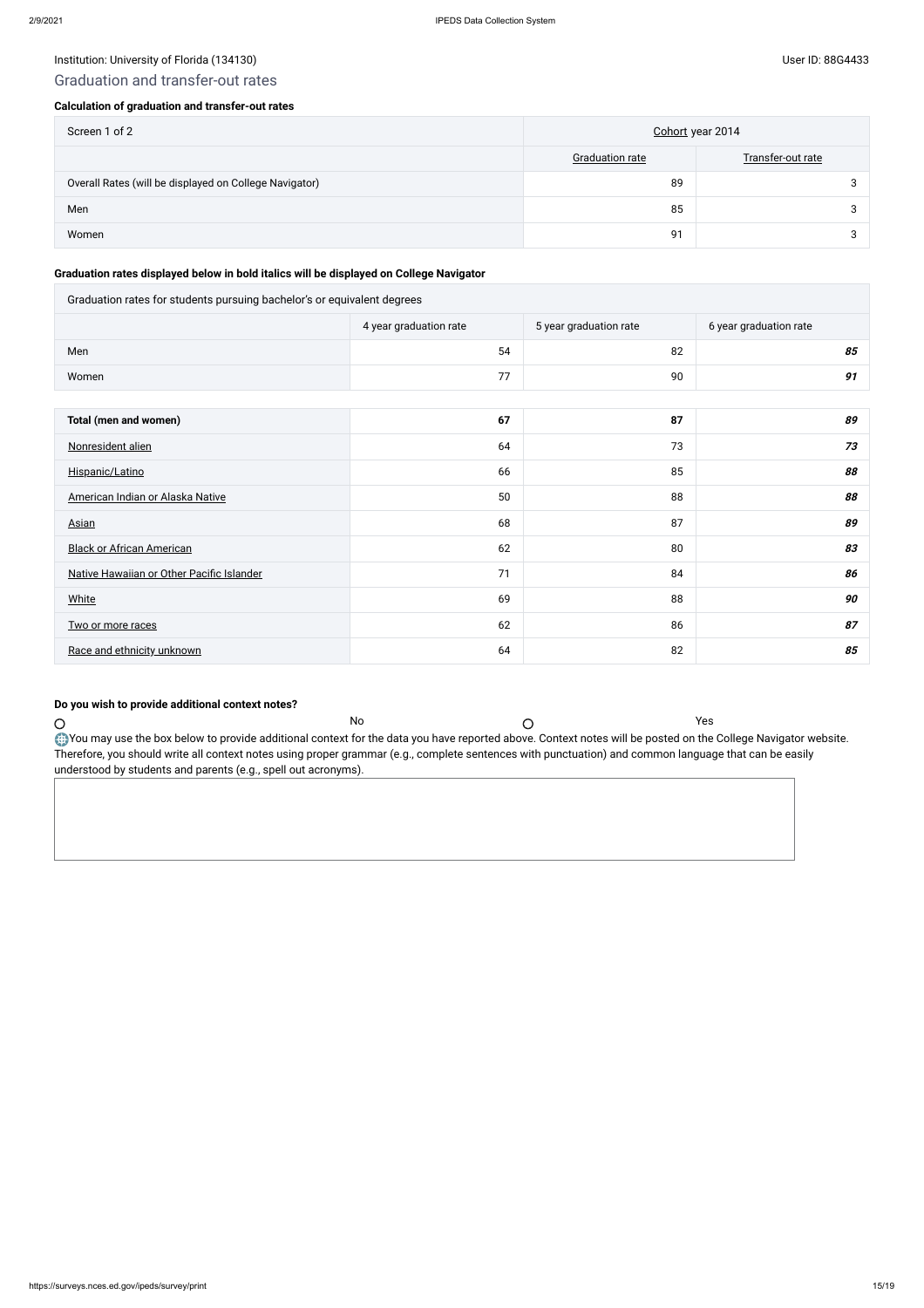### Institution: University of Florida (134130) Channels and the User ID: 88G4433

### Graduation and transfer-out rates

### **Calculation of graduation and transfer-out rates**

| Screen 1 of 2                                          | Cohort year 2014       |                   |
|--------------------------------------------------------|------------------------|-------------------|
|                                                        | <b>Graduation rate</b> | Transfer-out rate |
| Overall Rates (will be displayed on College Navigator) | 89                     |                   |
| Men                                                    | 85                     |                   |
| Women                                                  | 91                     |                   |

### **Graduation rates displayed below in bold italics will be displayed on College Navigator**

| Graduation rates for students pursuing bachelor's or equivalent degrees |                        |                        |                        |  |  |  |
|-------------------------------------------------------------------------|------------------------|------------------------|------------------------|--|--|--|
|                                                                         | 4 year graduation rate | 5 year graduation rate | 6 year graduation rate |  |  |  |
| Men                                                                     | 54                     | 82                     | 85                     |  |  |  |
| Women                                                                   | 77                     | 90                     | 91                     |  |  |  |
|                                                                         |                        |                        |                        |  |  |  |
| Total (men and women)                                                   | 67                     | 87                     | 89                     |  |  |  |
| Nonresident alien                                                       | 64                     | 73                     | 73                     |  |  |  |
| Hispanic/Latino                                                         | 66                     | 85                     | 88                     |  |  |  |
| American Indian or Alaska Native                                        | 50                     | 88                     | 88                     |  |  |  |
| <b>Asian</b>                                                            | 68                     | 87                     | 89                     |  |  |  |
| <b>Black or African American</b>                                        | 62                     | 80                     | 83                     |  |  |  |
| Native Hawaiian or Other Pacific Islander                               | 71                     | 84                     | 86                     |  |  |  |
| <b>White</b>                                                            | 69                     | 88                     | 90                     |  |  |  |
| Two or more races                                                       | 62                     | 86                     | 87                     |  |  |  |
| Race and ethnicity unknown                                              | 64                     | 82                     | 85                     |  |  |  |

### **Do you wish to provide additional context notes?**

Therefore, you should write all context notes using proper grammar (e.g., complete sentences with punctuation) and common language that can be easily

No  $\bigcirc$ 

understood by students and parents (e.g., spell out acronyms).

 $\bigcirc$ 

You may use the box below to provide additional context for the data you have reported above. Context notes will be posted on the College Navigator website.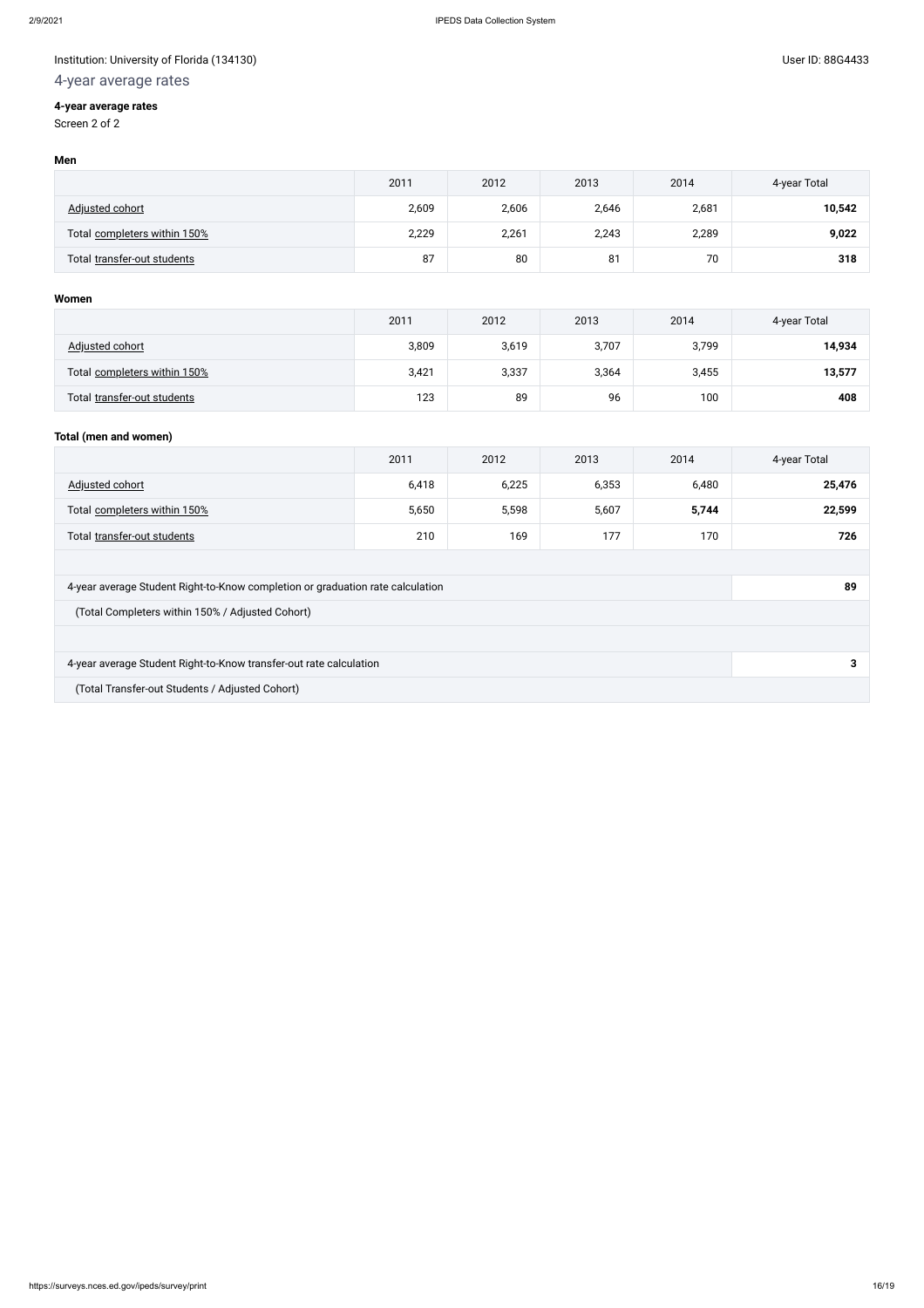### Institution: University of Florida (134130) Controlled to the USE of District of The User ID: 88G4433

# 4-year average rates

### **4-year average rates**

Screen 2 of 2

#### **Men**

|                              | 2011  | 2012  | 2013  | 2014  | 4-year Total |
|------------------------------|-------|-------|-------|-------|--------------|
| Adjusted cohort              | 2,609 | 2,606 | 2,646 | 2,681 | 10,542       |
| Total completers within 150% | 2,229 | 2,261 | 2,243 | 2,289 | 9,022        |
| Total transfer-out students  | 87    | 80    | 81    | 70    | 318          |

### **Women**

|                              | 2011  | 2012  | 2013  | 2014  | 4-year Total |
|------------------------------|-------|-------|-------|-------|--------------|
| Adjusted cohort              | 3,809 | 3,619 | 3,707 | 3,799 | 14,934       |
| Total completers within 150% | 3,421 | 3,337 | 3,364 | 3,455 | 13,577       |
| Total transfer-out students  | 123   | 89    | 96    | 100   | 408          |

### **Total (men and women)**

|                                                                                | 2011  | 2012  | 2013  | 2014  | 4-year Total |
|--------------------------------------------------------------------------------|-------|-------|-------|-------|--------------|
| Adjusted cohort                                                                | 6,418 | 6,225 | 6,353 | 6,480 | 25,476       |
| Total completers within 150%                                                   | 5,650 | 5,598 | 5,607 | 5,744 | 22,599       |
| Total transfer-out students                                                    | 210   | 169   | 177   | 170   | 726          |
|                                                                                |       |       |       |       |              |
| 4-year average Student Right-to-Know completion or graduation rate calculation |       |       |       |       | 89           |
| (Total Completers within 150% / Adjusted Cohort)                               |       |       |       |       |              |
|                                                                                |       |       |       |       |              |
| 4-year average Student Right-to-Know transfer-out rate calculation             |       |       |       |       | 3            |
| (Total Transfer-out Students / Adjusted Cohort)                                |       |       |       |       |              |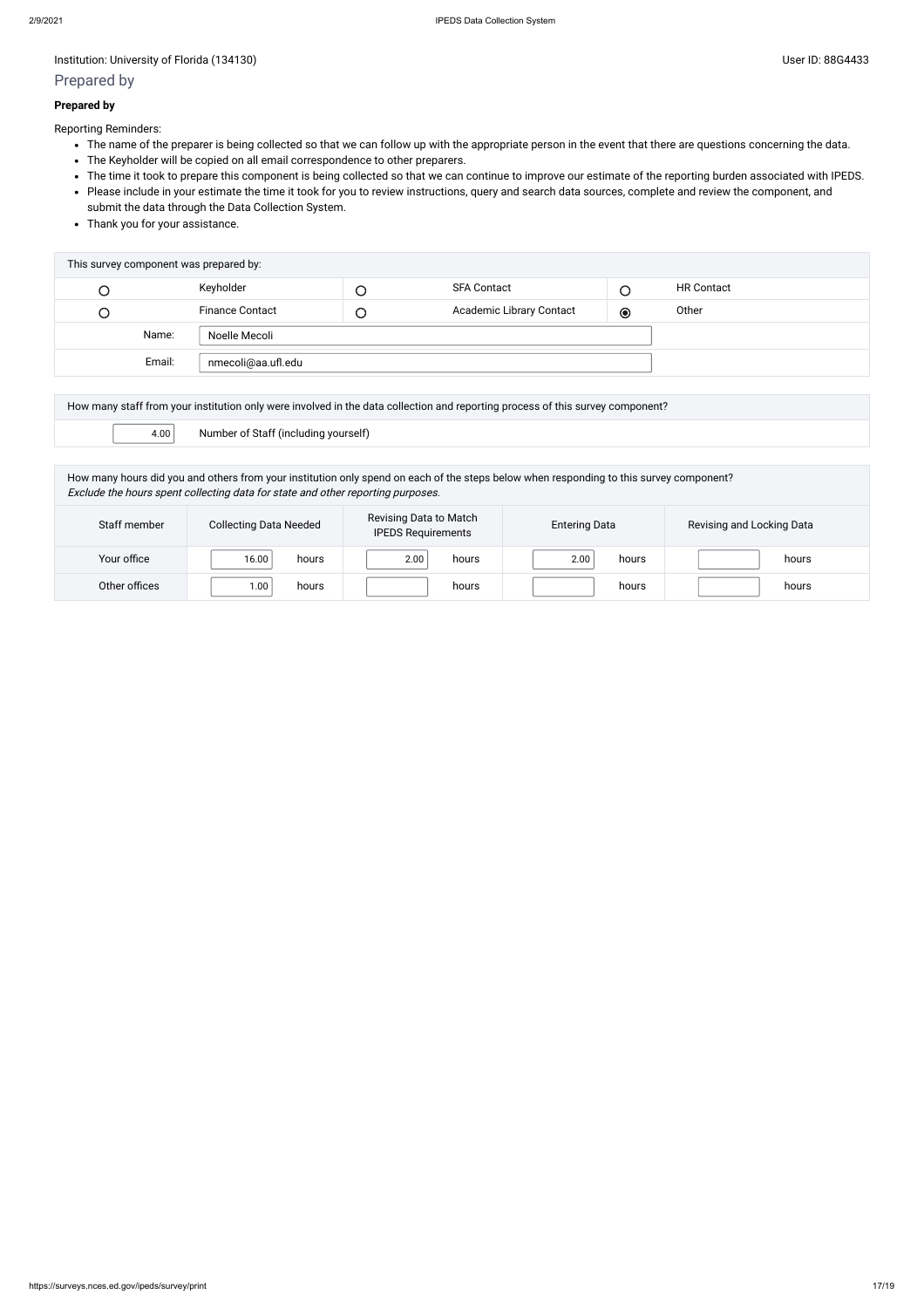### Prepared by

### **Prepared by**

Reporting Reminders:

- The name of the preparer is being collected so that we can follow up with the appropriate person in the event that there are questions concerning the data.
- The Keyholder will be copied on all email correspondence to other preparers.
- The time it took to prepare this component is being collected so that we can continue to improve our estimate of the reporting burden associated with IPEDS.
- Please include in your estimate the time it took for you to review instructions, query and search data sources, complete and review the component, and submit the data through the Data Collection System.
- Thank you for your assistance.

| This survey component was prepared by: |                        |        |                          |         |                   |
|----------------------------------------|------------------------|--------|--------------------------|---------|-------------------|
|                                        | Keyholder              |        | <b>SFA Contact</b>       |         | <b>HR Contact</b> |
| U                                      | <b>Finance Contact</b> | $\cup$ | Academic Library Contact | $\odot$ | Other             |
| Name:                                  | Noelle Mecoli          |        |                          |         |                   |
| Email:                                 | nmecoli@aa.ufl.edu     |        |                          |         |                   |

|      | How many staff from your institution only were involved in the data collection and reporting process of this survey component? |
|------|--------------------------------------------------------------------------------------------------------------------------------|
| 4.00 | Number of Staff (including yourself)                                                                                           |

How many hours did you and others from your institution only spend on each of the steps below when responding to this survey component? Exclude the hours spent collecting data for state and other reporting purposes.

| Staff member  | <b>Collecting Data Needed</b> | Revising Data to Match<br><b>IPEDS Requirements</b> | <b>Entering Data</b> | Revising and Locking Data |
|---------------|-------------------------------|-----------------------------------------------------|----------------------|---------------------------|
| Your office   | 16.00<br>hours                | 2.00<br>hours                                       | 2.00<br>hours        | hours                     |
| Other offices | .00<br>hours                  | hours                                               | hours                | hours                     |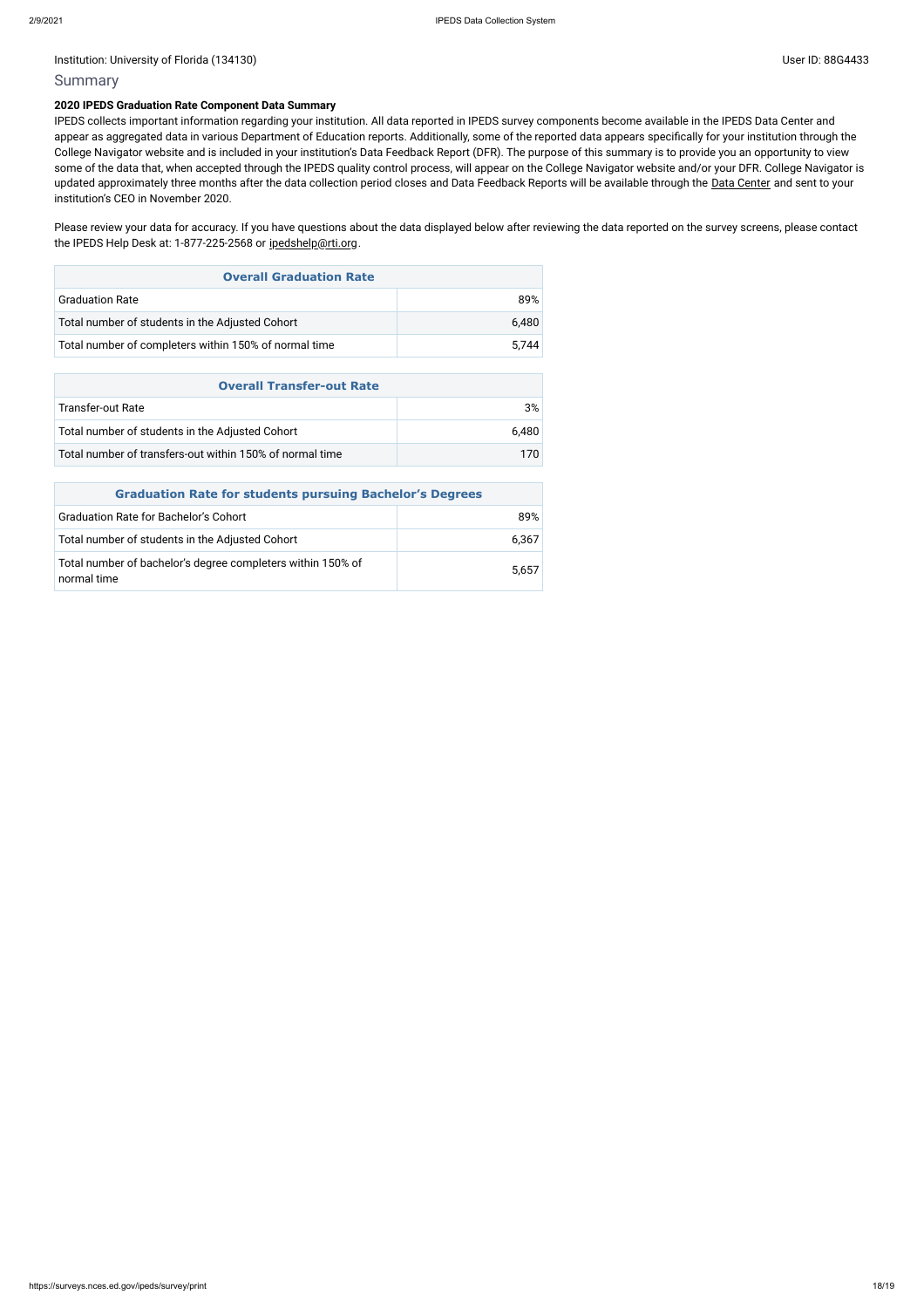### Summary

#### **2020 IPEDS Graduation Rate Component Data Summary**

Please review your data for accuracy. If you have questions about the data displayed below after reviewing the data reported on the survey screens, please contact the IPEDS Help Desk at: 1-877-225-2568 or [ipedshelp@rti.org](mailto:ipedshelp@rti.org).

IPEDS collects important information regarding your institution. All data reported in IPEDS survey components become available in the IPEDS Data Center and appear as aggregated data in various Department of Education reports. Additionally, some of the reported data appears specifically for your institution through the College Navigator website and is included in your institution's Data Feedback Report (DFR). The purpose of this summary is to provide you an opportunity to view some of the data that, when accepted through the IPEDS quality control process, will appear on the College Navigator website and/or your DFR. College Navigator is updated approximately three months after the data collection period closes and Data Feedback Reports will be available through the Data [Center](https://nces.ed.gov/ipeds/use-the-data) and sent to your institution's CEO in November 2020.

| <b>Overall Graduation Rate</b>                        |       |  |  |
|-------------------------------------------------------|-------|--|--|
| <b>Graduation Rate</b>                                | 89%   |  |  |
| Total number of students in the Adjusted Cohort       | 6.480 |  |  |
| Total number of completers within 150% of normal time | 5.744 |  |  |

| <b>Overall Transfer-out Rate</b>                         |       |  |  |
|----------------------------------------------------------|-------|--|--|
| Transfer-out Rate                                        | 3%    |  |  |
| Total number of students in the Adjusted Cohort          | 6.480 |  |  |
| Total number of transfers-out within 150% of normal time | 170.  |  |  |

| <b>Graduation Rate for students pursuing Bachelor's Degrees</b>            |       |  |  |  |
|----------------------------------------------------------------------------|-------|--|--|--|
| <b>Graduation Rate for Bachelor's Cohort</b>                               | 89%   |  |  |  |
| Total number of students in the Adjusted Cohort                            | 6,367 |  |  |  |
| Total number of bachelor's degree completers within 150% of<br>normal time | 5.657 |  |  |  |